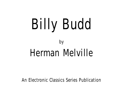# Billy Budd by Herman Melville

An Electronic Classics Series Publication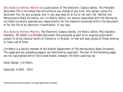*Billy Budd* by Herman Melville is a publication of The Electronic Classics Series. This Portable Document file is furnished free and without any charge of any kind. Any person using this document file, for any purpose, and in any way does so at his or her own risk. Neither the Pennsylvania State University nor Jim Manis, Editor, nor anyone associated with the Pennsylvania State University assumes any responsibility for the material contained within the document or for the file as an electronic transmission, in any way.

*Billy Budd* by Herman Melville*,* The Electronic Classics Series, Jim Manis, Editor, PSU-Hazleton, Hazleton, PA 18202 is a Portable Document File produced as part of an ongoing publication project to bring classical works of literature, in English, to free and easy access of those wishing to make use of them.

Jim Manis is a faculty member of the English Department of The Pennsylvania State University. This page and any preceding page(s) are restricted by copyright. The text of the following pages are not copyrighted within the United States; however, the fonts used may be.

Cover Design: Jim Manis

Copyright © 2001 - 2012

The Pennsylvania State University is an equal opportunity university.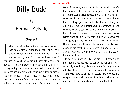### Herman Melville

by

#### **Chapter 1**

In the time before steamships, or then more frequently<br>than now, a stroller along the docks of any consid-<br>erable sea-port would occasionally have his atten-<br>tion arrested by a group of bronzed mariners, man-ofn the time before steamships, or then more frequently than now, a stroller along the docks of any considerable sea-port would occasionally have his attenwar's men or merchant-sailors in holiday attire ashore on liberty. In certain instances they would flank, or, like a body-guard quite surround some superior figure of their own class, moving along with them like Aldebaran among the lesser lights of his constellation. That signal object was the "Handsome Sailor" of the less prosaic time alike of the military and merchant navies. With no perceptible

trace of the vainglorious about him, rather with the offhand unaffectedness of natural regality, he seemed to accept the spontaneous homage of his shipmates. A somewhat remarkable instance recurs to me. In Liverpool, now half a century ago, I saw under the shadow of the great dingy street-wall of Prince's Dock (an obstruction long since removed) a common sailor, so intensely black that he must needs have been a native African of the unadulterate blood of Ham. A symmetric figure much above the average height. The two ends of a gay silk handkerchief thrown loose about the neck danced upon the displayed ebony of his chest; in his ears were big hoops of gold, and a Scotch Highland bonnet with a tartan band set off his shapely head.

It was a hot noon in July; and his face, lustrous with perspiration, beamed with barbaric good humor. In jovial sallies right and left, his white teeth flashing into he rollicked along, the centre of a company of his shipmates. These were made up of such an assortment of tribes and complexions as would have well fitted them to be marched up by Anacharsis Cloots before the bar of the first French

Herman Melville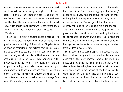Assembly as Representatives of the Human Race. At each spontaneous tribute rendered by the wayfarers to this black pagod of a fellow- the tribute of a pause and stare, and less frequent an exclamation,—the motley retinue showed that they took that sort of pride in the evoker of it which the Assyrian priests doubtless showed for their grand sculptured Bull when the faithful prostrated themselves.

To return.

If in some cases a bit of a nautical Murat in setting forth his person ashore, the Handsome Sailor of the period in question evinced nothing of the dandified Billy-be-Damn, an amusing character all but extinct now, but occasionally to be encountered, and in a form yet more amusing than the original, at the tiller of the boats on the tempestuous Erie Canal or, more likely, vaporing in the groggeries along the tow-path. Invariably a proficient in his perilous calling, he was also more or less of a mighty boxer or wrestler. It was strength and beauty. Tales of his prowess were recited. Ashore he was the champion; afloat the spokesman; on every suitable occasion always foremost. Close-reefing top-sails in a gale, there he was,

astride the weather yard-arm-end, foot in the Flemish horse as "stirrup," both hands tugging at the "earring" as at a bridle, in very much the attitude of young Alexander curbing the fiery Bucephalus. A superb figure, tossed up as by the horns of Taurus against the thunderous sky, cheerily hallooing to the strenuous file along the spar. The moral nature was seldom out of keeping with the physical make. Indeed, except as toned by the former, the comeliness and power, always attractive in masculine conjunction, hardly could have drawn the sort of honest homage the Handsome Sailor in some examples received from his less gifted associates.

Such a cynosure, at least in aspect, and something such too in nature, though with important variations made apparent as the story proceeds, was welkin-eyed Billy Budd, or Baby Budd, as more familiarly under circumstances hereafter to be given he at last came to be called, aged twenty-one, a foretopman of the British fleet toward the close of the last decade of the eighteenth century. It was not very long prior to the time of the narration that follows that he had entered the King's Service,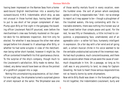having been impressed on the Narrow Seas from a homeward-bound English merchantman into a seventy-four outward-bound, H.M.S. *Indomitable*; which ship, as was not unusual in those hurried days, having been obliged to put to sea short of her proper complement of men. Plump upon Billy at first sight in the gangway the boarding officer Lieutenant Ratcliff pounced, even before the merchantman's crew was formally mustered on the quarter-deck for his deliberate inspection. And him only he elected. For whether it was because the other men when ranged before him showed to ill advantage after Billy, or whether he had some scruples in view of the merchantman being rather short-handed, however it might be, the officer contented himselfwith his first spontaneous choice. To the surprise of the ship's company, though much to the Lieutenant's satisfaction, Billy made no demur. But, indeed, any demur would have been as idle as the protest of a goldfinch popped into a cage.

Noting this uncomplaining acquiescence, all but cheerful one might say, the shipmates turned a surprised glance of silent reproach at the sailor. The Shipmaster was one of those worthy mortals found in every vocation, even the humbler ones- the sort of person whom everybody agrees in calling "a respectable man." And—nor so strange to report as it may appear to be—though a ploughman of the troubled waters, life-long contending with the intractable elements, there was nothing this honest soul at heart loved better than simple peace and quiet. For the rest, he was fifty or thereabouts, a little inclined to corpulence, a prepossessing face, unwhiskered, and of an agreeable color—a rather full face, humanely intelligent in expression. On a fair day with a fair wind and all going well, a certain musical chime in his voice seemed to be the veritable unobstructed outcome of the innermost man. He had much prudence, much conscientiousness, and there were occasions when these virtues were the cause of overmuch disquietude in him. On a passage, so long as his craft was in any proximity to land, no sleep for Captain Graveling. He took to heart those serious responsibilities not so heavily borne by some shipmasters.

Now while Billy Budd was down in the forecastle getting his kit together, the *Indomitable's* Lieutenant, burly and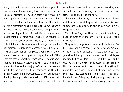bluff, nowise disconcerted by Captain Graveling's omitting to proffer the customary hospitalities on an occasion so unwelcome to him, an omission simply caused by preoccupation of thought, unceremoniously invited himself into the cabin, and also to a flask from the spiritlocker, a receptacle which his experienced eye instantly discovered. In fact he was one of those sea-dogs in whom all the hardship and peril of naval life in the great prolonged wars of his time never impaired the natural instinct for sensuous enjoyment. His duty he always faithfully did; but duty is sometimes a dry obligation, and he was for irrigating its aridity, whensoever possible, with a fertilizing decoction of strong waters. For the cabin's proprietor there was nothing left but to play the part of the enforced host with whatever grace and alacrity were practicable. As necessary adjuncts to the flask, he silently placed tumbler and water-jug before the irrepressible guest. But excusing himself from partaking just then, he dismally watched the unembarrassed officer deliberately diluting his grog a little, then tossing it off in three swallows, pushing the empty tumbler away, yet not so far as

to be beyond easy reach, at the same time settling himself in his seat and smacking his lips with high satisfaction, looking straight at the host.

These proceedings over, the Master broke the silence; and there lurked a rueful reproach in the tone of his voice: "Lieutenant, you are going to take my best man from me, the jewel of 'em."

"Yes, I know," rejoined the other, immediately drawing back the tumbler preliminary to a replenishing; "Yes, I know. Sorry."

"Beg pardon, but you don't understand, Lieutenant. See here now. Before I shipped that young fellow, my forecastle was a rat-pit of quarrels. It was black times, I tell you, aboard the *Rights* here. I was worried to that degree my pipe had no comfort for me. But Billy came; and it was like a Catholic priest striking peace in an Irish shindy. Not that he preached to them or said or did anything in particular; but a virtue went out of him, sugaring the sour ones. They took to him like hornets to treacle; all but the buffer of the gang, the big shaggy chap with the fire-red whiskers. He indeed out of envy, perhaps, of the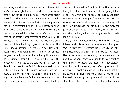newcomer, and thinking such a 'sweet and pleasant fellow,' as he mockingly designated him to the others, could hardly have the spirit of a game-cock, must needs bestir himself in trying to get up an ugly row with him. Billy forebore with him and reasoned with him in a pleasant way- he is something like myself, Lieutenant, to whom aught like a quarrel is hateful- but nothing served. So, in the second dog-watch one day the Red Whiskers in presence of the others, under pretence of showing Billy just whence a sirloin steak was cut- for the fellow had once been a butcher- insultingly gave him a dig under the ribs. Quick as lightning Billy let fly his arm. I dare say he never meant to do quite as much as he did, but anyhow he gave the burly fool a terrible drubbing. It took about half a minute, I should think. And, lord bless you, the lubber was astonished at the celerity. And will you believe it, Lieutenant, the Red Whiskers now really loves Billy- loves him, or is the biggest hypocrite that ever I heard of. But theyall love him. Some of 'em do his washing, darn his old trousers for him; the carpenter is at odd times making a pretty little chest of drawers for him.

Anybody will do anything for Billy Budd; and it's the happy family here. But now, Lieutenant, if that young fellow goes- I know how it will be aboard the *Rights.* Not again very soon shall I, coming up from dinner, lean over the capstan smoking a quiet pipe- no, not very soon again, I think. Ay, Lieutenant, you are going to take away the jewel of 'em; you are going to take away my peacemaker!" And with that the good soul had really some ado in checking a rising sob.

"Well," said the officer who had listened with amused interest to all this, and now waxing merry with his tipple; "Well, blessed are the peacemakers, especially the fighting peacemakers! And such are the seventy- four beauties some of which you see poking their noses out of the port-holes of yonder war-ship lying-to for me," pointing thro' the cabin window at the *Indomitable.* "But courage! don't look so downhearted, man. Why, I pledge you in advance the royal approbation. Rest assured that His Majesty will be delighted to know that in a time when his hard tack is not sought for by sailors with such avidity as should be; a time also when some shipmasters privily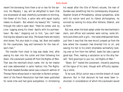resent the borrowing from them a tar or two for the service; His Majesty, I say, will be delighted to learn that one shipmaster at least cheerfully surrenders to the King, the flower of his flock, a sailor who with equal loyalty makes no dissent.- But where's my beauty? Ah," looking through the cabin's open door, "Here he comes; and, by Jove- lugging along his chest- Apollo with his portmanteau!- My man," stepping out to him, "you can't take that big box aboard a war-ship. The boxes there are mostly shot-boxes. Put your duds in a bag, lad. Boot and saddle for the cavalryman, bag and hammock for the man-ofwar's man."

The transfer from chest to bag was made. And, after seeing his man into the cutter and then following him down, the Lieutenant pushed off from the Rights-of-Man. That was the merchant-ship's name; tho' by her master and crew abbreviated in sailor fashion into The Rights. The hard-headed Dundee owner was a staunch admirer of Thomas Paine whose book in rejoinder to Burke's arraignment of the French Revolution had then been published for some time and had gone everywhere. In christening

his vessel after the title of Paine's volume, the man of Dundee was something like his contemporary shipowner, Stephen Girard of Philadelphia, whose sympathies, alike with his native land and its liberal philosophers, he evinced by naming his ships after Voltaire, Diderot, and so forth.

But now, when the boat swept under the merchantman's stern, and officer and oarsmen were noting- some bitterly and others with a grin,- the name emblazoned there; just then it was that the new recruit jumped up from the bow where the coxswain had directed him to sit, and waving his hat to his silent shipmates sorrowfully looking over at him from the taffrail, bade the lads a genial good-bye. Then, making a salutation as to the ship herself, "And good-bye to you too, old Rights-of-Man."

"Down, Sir!" roared the Lieutenant, instantly assuming all the rigour of his rank, though with difficulty repressing a smile.

To be sure, Billy's action was a terrible breach of naval decorum. But in that decorum he had never been instructed; in consideration of which the Lieutenant would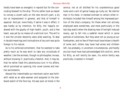hardly have been so energetic in reproof but for the concluding farewell to the ship. This he rather took as meant to convey a covert sally on the new recruit's part, a sly slur at impressment in general, and that of himself in especial. And yet, more likely, if satire it was in effect, it was hardly so by intention, for Billy, tho' happily endowed with the gayety of high health, youth, and a free heart, was yet by no means of a satirical turn. The will to it and the sinister dexterity were alike wanting. To deal in double meanings and insinuations of any sort was quite foreign to his nature.

As to his enforced enlistment, that he seemed to take pretty much as he was wont to take any vicissitude of weather. Like the animals, though no philosopher, he was, without knowing it, practically a fatalist. And, it may be, that he rather liked this adventurous turn in his affairs, which promised an opening into novel scenes and martial excitements.

Aboard the Indomitable our merchant-sailor was forthwith rated as an able-seaman and assigned to the starboard watch of the fore-top. He was soon at home in the

service, not at all disliked for his unpretentious good looks and a sort of genial happy-go-lucky air. No merrier man in his mess: in marked contrast to certain other individuals included like himself among the impressed portion of the ship's company; for these when not actively employed were sometimes, and more particularly in the last dog-watch when the drawing near of twilight induced revery, apt to fall into a saddish mood which in some partook of sullenness. But they were not so young as our foretopman, and no few of them must have known a hearth of some sort; others may have had wives and children left, too probably, in uncertain circumstances, and hardly any but must have had acknowledged kith and kin, while for Billy, as will shortly be seen, his entire family was practically invested in himself.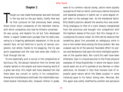#### **Chapter 2**

hough our new-made foretopman was well received<br>in the top and on the gun decks, hardly here was<br>he that cynosure he had previously been among<br>those minor ship's companies of the merchant marine, hough our new-made foretopman was well received in the top and on the gun decks, hardly here was he that cynosure he had previously been among with which companies only had he hitherto consorted. He was young; and despite his all but fully developed frame, in aspect looked even younger than he really was, owing to a lingering adolescent expression in the as yet smooth face, all but feminine in purity of natural complexion, but where, thanks to his seagoing, the lily was quite suppressed and the rose had some ado visibly to flush through the tan.

To one essentially such a novice in the complexities of factitious life, the abrupt transition from his former and simpler sphere to the ampler and more knowing world of a great war-ship; this might well have abashed him had there been any conceit or vanity in his composition. Among her miscellaneous multitude, the Indomitable mustered several individuals who, however inferior in grade,

were of no common natural stamp, sailors more signally susceptive of that air which continuous martial discipline and repeated presence in battle can in some degree impart even to the average man. As the Handsome Sailor, Billy Budd's position aboard the seventy-four was something analogous to that of a rustic beauty transplanted from the provinces and brought into competition with the highborn dames of the court. But this change of circumstances he scarce noted. As little did he observe that something about him provoked an ambiguous smile in one or two harder faces among the blue-jackets. Nor less unaware was he of the peculiar favorable effect his person and demeanour had upon the more intelligent gentlemen of the quarter-deck. Nor could this well have been otherwise. Cast in a mould peculiar to the finest physical examples of those Englishmen in whom the Saxon strain would seem not at all to partake of any Norman or other admixture, he showed in face that humane look of reposeful good nature which the Greek sculptor in some instances gave to his heroic strong man, Hercules. But this again was subtly modified by another and pervasive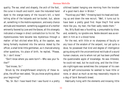quality. The ear, small and shapely, the arch of the foot, the curve in mouth and nostril, even the indurated hand dyed to the orange-tawny of the toucan's bill, a hand telling alike of the halyards and tar-bucket; but, above all, something in the mobile expression, and every chance attitude and movement, something suggestive of a mother eminently favored by Love and the Graces; all this strangely indicated a lineage in direct contradiction to his lot. The mysteriousness here became less mysterious through a matter- of-fact elicited when Billy, at the capstan, was being formally mustered into the service. Asked by the officer, a small brisk little gentleman, as it chanced among other questions, his place of birth, he replied, "Please, Sir, I don't know."

"Don't know where you were born?—Who was your father?"

"God knows, Sir."

Struck by the straightforward simplicity of these replies, the officer next asked, "Do you know anything about your beginning?"

"No, Sir. But I have heard that I was found in a pretty

silklined basket hanging one morning from the knocker of a good man's door in Bristol."

"*Found* say you? Well," throwing back his head and looking up and down the new recruit; "Well, it turns out to have been a pretty good find. Hope they'll find some more like you, my man; the fleet sadly needs them."

Yes, Billy Budd was a foundling, a presumable by-blow, and, evidently, no ignoble one. Noble descent was as evident in him as in a blood horse.

For the rest, with little or no sharpness of faculty or any trace of the wisdom of the serpent, nor yet quite a dove, he possessed that kind and degree of intelligence going along with the unconventional rectitude of a sound human creature, one to whom not yet has been proffered the questionable apple of knowledge. He was illiterate; he could not read, but he could sing, and like the illiterate nightingale was sometimes the composer of his own song.Of self-consciousness he seemed to have little or none, or about as much as we may reasonably impute to a dog of Saint Bernard's breed.

Habitually living with the elements and knowing little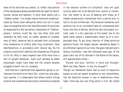more of the land than as a beach, or, rather, that portion of the terraqueous globe providentially set apart for dancehouses, doxies and tapsters, in short what sailors call a "fiddlers'-green," his simple nature remained unsophisticated by those moral obliquities which are not in every case incompatible with that manufacturable thing known as respectability. But are sailors, frequenters of "fiddlers' greens," without vices? No; but less often than with landsmen do their vices, so called, partake of crookedness of heart, seeming less to proceed from viciousness than exuberance of vitality after long constraint; frank manifestations in accordance with natural law. By his original constitution aided by the cooperating influences of his lot, Billy in many respects was little more than a sort of upright barbarian, much such perhaps as Adam presumably might have been ere the urbane Serpent wriggled himself into his company.

And here be it submitted that apparently going to corroborate the doctrine of man's fall, a doctrine now popularly ignored, it is observable that where certain virtues pristine and unadulterate peculiarly characterize anybody in the external uniform of civilization, they will upon scrutiny seem not to be derived from custom or convention, but rather to be out of keeping with these, as if indeed exceptionally transmitted from a period prior to Cain's city and citified man. The character marked by such qualities has to an unvitiated taste an untampered-with flavor like that of berries, while the man thoroughly civilized, even in a fair specimen of the breed, has to the same moral palate a questionable smack as of a compounded wine. To any stray inheritor of these primitive qualities found, like Caspar Hauser, wandering dazed in any Christian capital of our time, the good-natured poet's famous invocation, near two thousand years ago, of the good rustic out of his latitude in the Rome of the Cesars, still appropriately holds:—

"Honest and poor, faithful in word and thought, What has thee, Fabian, to the city brought?"

Though our Handsome Sailor had as much of masculine beauty as one can expect anywhere to see; nevertheless, like the beautiful woman in one of Hawthorne's minor tales, there was just one thing amiss in him. No visible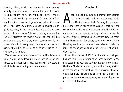blemish, indeed, as with the lady; no, but an occasional liability to a vocal defect. Though in the hour of elemental uproar or peril he was everything that a sailor should be, yet under sudden provocation of strong heart-feeling, his voice otherwise singularly musical, as if expressive of the harmony within, was apt to develop an organic hesitancy, in fact, more or less of a stutter or even worse. In this particular Billy was a striking instance that the arch interferer, the envious marplot of Eden, still has more or less to do with every human consignment to this planet of earth. In every case, one way or another he is sure to slip in his little card, as much as to remind us- I too have a hand here.

The avowal of such an imperfection in the Handsome Sailor should be evidence not alone that he is not presented as a conventional hero, but also that the story in which he is the main figure is no romance.

#### **Chapter 3**

t the time of Billy Budd's arbitrary enlistment into the *Indomitable* that ship was on her way to join the Mediterranean fleet. No long time elapsed before the 'unction was effected. As one of that fleet the seventy-four participated in its movements, tho' at times, on account of her superior sailing qualities, in the absence of frigates, despatched on separate duty as a scout and at times on less temporary service. But with all this the story has little concernment, restricted as it is to the inner life of one particular ship and the career of an individual sailor.

It was the summer of 1797. In the April of that year had occurred the commotion at Spithead followed in May by a second and yet more serious outbreak in the fleet at the Nore. The latter is known, and without exaggeration in the epithet, as the Great Mutiny. It was indeed a demonstration more menacing to England than the contemporary manifestoes and conquering and proselyting armies of the French Directory.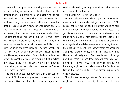To the British Empire the Nore Mutiny was what a strike in the fire-brigade would be to London threatened by general arson. In a crisis when the kingdom might well have anticipated the famous signal that some years later published along the naval line of battle what it was that upon occasion England expected of Englishmen; *that* was the time when at the mast-heads of the three-deckers and seventy-fours moored in her own roadstead- a fleet, the right arm of a Power then all but the sole free conservative one of the Old World- the blue-jackets, to be numbered by thousands, ran up with huzzas the British colors with the union and cross wiped out; by that cancellation transmuting the flag of founded law and freedom defined, into the enemy's red meteor of unbridled and unbounded revolt. Reasonable discontent growing out of practical grievances in the fleet had been ignited into irrational combustion, as by live cinders blown across the Channel from France in flames.

The event converted into irony for a time those spirited strains of Dibdin- as a song-writer no mean auxiliary to the English Government at the European conjuncturestrains celebrating, among other things, the patriotic devotion of the British tar:

"And as for my life, 'tis the King's!"

Such an episode in the Island's grand naval story her naval historians naturally abridge; one of them (G.P.R. James) candidly acknowledging that fain would he pass it over did not "impartiality forbid fastidiousness." And yet his mention is less a narration than a reference, having to do hardly at all with details. Nor are these readily to be found in the libraries. Like some other events in every age befalling states everywhere, including America, the Great Mutiny was of such character that national pride along with views of policy would fain shade it off into the historical background. Such events can not be ignored, but there is a considerate way of historically treating them. If a well-constituted individual refrains from blazoning aught amiss or calamitous in his family, a nation in the like circumstance may without reproach be equally discreet.

Though after parleyings between Government and the ringleaders, and concessions by the former as to some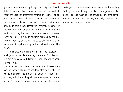glaring abuses, the first uprising- that at Spithead- with difficulty was put down, or matters for the time pacified; yet at the Nore the unforeseen renewal of insurrection on a yet larger scale, and emphasized in the conferences that ensued by demands deemed by the authorities not only inadmissible but aggressively insolent, indicated- if the Red Flag did not sufficiently do so- what was the spirit animating the men. Final suppression, however, there was; but only made possible perhaps by the unswerving loyalty of the marine corps and voluntary resumption of loyalty among influential sections of the crews.

To some extent the Nore Mutiny may be regarded as analogous to the distempering irruption of contagious fever in a frame constitutionally sound, and which anon throws it off.

At all events, of these thousands of mutineers were some of the tars who not so very long afterwards- whether wholly prompted thereto by patriotism, or pugnacious instinct, or by both,- helped to win a coronet for Nelson at the Nile, and the naval crown of crowns for him at Trafalgar. To the mutineers those battles, and especially Trafalgar, were a plenary absolution and a grand one: For all that goes to make up scenicnaval display, heroic magnificence in arms, those battles, especially Trafalgar, stand unmatched in human annals.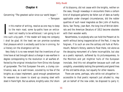#### **Chapter 4**

*Concerning "The greatest sailor since our world began." —Tennyson*

In this matter of writing, resolve as one may to keep<br>to the main road, some by-paths have an entice-<br>ment not readily to be withstood. I am going to err<br>into such a by-path. If the reader will keep me company n this matter of writing, resolve as one may to keep to the main road, some by-paths have an enticement not readily to be withstood. I am going to err I shall be glad. At the least we can promise ourselves that pleasure which is wickedly said to be in sinning, for a literary sin the divergence will be.

Very likely it is no new remark that the inventions of our time have at last brought about a change in sea-warfare in degree corresponding to the revolution in all warfare effected by the original introduction from China into Europe of gunpowder. The first European fire-arm, a clumsy contrivance, was, as is well known, scouted by no few of the knights as a base implement, good enough peradventure for weavers too craven to stand up crossing steel with steel in frank fight. But as ashore, knightly valor, tho' shorn

of its blazonry, did not cease with the knights, neither on the seas, though nowadays in encounters there a certain kind of displayed gallantry be fallen out of date as hardly applicable under changed circumstances, did the nobler qualities of such naval magnates as Don John of Austria, Doria, Van Tromp, Jean Bart, the long line of British Admirals and the American Decaturs of 1812 become obsolete with their wooden walls.

Nevertheless, to anybody who can hold the Present at its worth without being inappreciative of the Past, it may be forgiven, if to such an one the solitary old hulk at Portsmouth, Nelson's *Victory,* seems to float there, not alone as the decaying monument of a fame incorruptible, but also as a poetic reproach, softened by its picturesqueness, to the *Monitors* and yet mightier hulls of the European ironclads. And this not altogether because such craft are unsightly, unavoidably lacking the symmetry and grand lines of the old battle-ships, but equally for other reasons.

There are some, perhaps, who while not altogether inaccessible to that poetic reproach just alluded to, may yet on behalf of the new order, be disposed to parry it;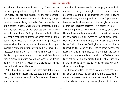and this to the extent of iconoclasm, if need be. For example, prompted by the sight of the star inserted in the *Victory's* quarter-deck designating the spot where the Great Sailor fell, these martial utilitarians may suggest considerations implying that Nelson's ornate publication of his person in battle was not only unnecessary, but not military, nay, savored of foolhardiness and vanity. They may add, too, that at Trafalgar it was in effect nothing less than a challenge to death; and death came; and that but for his bravado the victorious Admiral might possibly have survived the battle; and so, instead of having his sagacious dying injunctions overruled by his immediate successor in command, he himself, when the contest was decided, might have brought his shattered fleet to anchor, a proceeding which might have averted the deplorable loss of life by shipwreck in the elemental tempest that followed the martial one.

Well, should we set aside the more disputable point whether for various reasons it was possible to anchor the fleet, then plausibly enough the Benthamites of war may urge the above.

But the *might-have-been* is but boggy ground to build on. And, certainly, in foresight as to the larger issue of an encounter, and anxious preparations for it—buoying the deadly way and mapping it out, as at Copenhagen few commanders have been so painstakingly circumspect as this same reckless declarer of his person in fight.

Personal prudence even when dictated by quite other than selfish considerations surely is no special virtue in a military man; while an excessive love of glory, impassioning a less burning impulse, the honest sense of duty, is the first. If the name *Wellington* is not so much of a trumpet to the blood as the simpler name *Nelson,* the reason for this may perhaps be inferred from the above. Alfred in his funeral ode on the victor of Waterloo ventures not to call him the greatest soldier of all time, tho' in the same ode he invokes Nelson as "the greatest sailor since our world began."

At Trafalgar, Nelson, on the brink of opening the fight, sat down and wrote his last brief will and testament. If under the presentiment of the most magnificent of all victories to be crowned by his own glorious death, a sort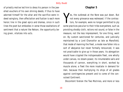of priestly motive led him to dress his person in the jewelled vouchers of his own shining deeds; if thus to have adorned himself for the altar and the sacrifice were indeed vainglory, then affectation and fustian is each more heroic line in the great epics and dramas, since in such lines the poet but embodies in verse those exaltations of sentiment that a nature like Nelson, the opportunity being given, vitalizes into acts.

#### **Chapter 5**

Yes, the outbreak at the Nore was put down. But<br>not every grievance was redressed. If the contrac-<br>tors, for example, were no longer permitted to ply<br>some practices peculiar to their tribe everywhere, such as es, the outbreak at the Nore was put down. But not every grievance was redressed. If the contractors, for example, were no longer permitted to ply providing shoddy cloth, rations not sound, or false in the measure, not the less impressment, for one thing, went on. By custom sanctioned for centuries, and judicially maintained by a Lord Chancellor as late as Mansfield, that mode of manning the fleet, a mode now fallen into a sort of abeyance but never formally renounced, it was not practicable to give up in those years. Its abrogation would have crippled the indispensable fleet, one wholly under canvas, no steam-power, its innumerable sails and thousands of cannon, everything in short, worked by muscle alone; a fleet the more insatiate in demand for men, because then multiplying its ships of all grades against contingencies present and to come of the convulsed Continent.

Discontent foreran the Two Mutinies, and more or less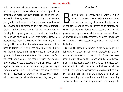it lurkingly survived them. Hence it was not unreasonable to apprehend some return of trouble, sporadic or general. One instance of such apprehensions: In the same year with this story, Nelson, then Vice-Admiral Sir Horatio, being with the fleet off the Spanish coast, was directed by the Admiral in command to shift his pennant from the *Captain* to the *Theseus;* and for this reason: that the latter ship having newly arrived on the station from home where it had taken part in the Great Mutiny, danger was apprehended from the temper of the men; and it was thought that an officer like Nelson was the one, not indeed to terrorize the crew into base subjection, but to win them, by force of his mere presence, back to an allegiance if not as enthusiastic as his own, yet as true. So it was that for a time on more than one quarter-deck anxiety did exist. At sea precautionary vigilance was strained against relapse. At short notice an engagement might come on. When it did, the lieutenants assigned to batteries felt it incumbent on them, in some instances, to stand with drawn swords behind the men working the guns.

#### **Chapter 6**

at on board the seventy-four in which Billy now<br>swung his hammock, very little in the manner of<br>the men and nothing obvious in the demeanour<br>of the officers would have suggested to an ordinary obswung his hammock, very little in the manner of the men and nothing obvious in the demeanour of the officers would have suggested to an ordinary observer that the Great Mutiny was a recent event. In their general bearing and conduct the commissioned officers of a warship naturally take their tone from the Commander, that is if he have that ascendancy of character that ought to be his.

Captain the Honorable Edward Fairfax Vere, to give his full title, was a bachelor of forty or thereabouts, a sailor of distinction even in a time prolific of renowned seamen. Though allied to the higher nobility, his advancement had not been altogether owing to influences connected with that circumstance. He had seen much service, been in various engagements, always acquitting himself as an officer mindful of the welfare of his men, but never tolerating an infraction of discipline; thoroughly versed in the science of his profession, and intrepid to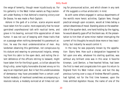the verge of temerity, though never injudiciously so. For his gallantry in the West Indian waters as Flag-Lieutenant under Rodney in that Admiral's crowning victory over De Grasse, he was made a Post-Captain.

Ashore in the garb of a civilian, scarce anyone would have taken him for a sailor, more especially that he never garnished unprofessional talk with nautical terms, and grave in his bearing, evinced little appreciation of mere humor. It was not out of keeping with these traits that on a passage when nothing demanded his paramount action, he was the most undemonstrative of men. Any landsman observing this gentleman, not conspicuous by his stature and wearing no pronounced insignia, emerging from his cabin to the open deck, and noting the silent deference of the officers retiring to leeward, might have taken him for the King's guest, a civilian aboard the King's-ship, some highly honorable discreet envoy on his way to an important post. But in fact this unobtrusiveness of demeanour may have proceeded from a certain unaffected modesty of manhood sometimes accompanying a resolute nature, a modesty evinced at all times not call-

ing for pronounced action, and which shown in any rank of life suggests a virtue aristocratic in kind.

As with some others engaged in various departments of the world's more heroic activities, Captain Vere, though practical enough upon occasion, would at times betray a certain dreaminess of mood. Standing alone on the weatherside of the quarter-deck, one hand holding by the rigging, he would absently gaze off at the blank sea. At the presentation to him then of some minor matter interrupting the current of his thoughts he would show more or less irascibility; but instantly he would control it.

In the navy he was popularly known by the appellation- Starry Vere. How such a designation happened to fall upon one who, whatever his sterling qualities, was without any brilliant ones was in this wise: A favorite kinsman, Lord Denton, a free-hearted fellow, had been the first to meet and congratulate him upon his return to England from his West Indian cruise; and but the day previous turning over a copy of Andrew Marvell's poems, had lighted, not for the first time however, upon the lines entitled Appleton House, the name of one of the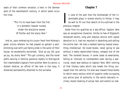seats of their common ancestor, a hero in the German wars of the seventeenth century, in which poem occur the lines,

> "This 'tis to have been from the first In a domestic heaven nursed, Under the discipline severe Of Fairfax and the starry Vere."

And so, upon embracing his cousin fresh from Rodney's great victory wherein he had played so gallant a part, brimming over with just family pride in the sailor of their house, he exuberantly exclaimed, "Give ye joy, Ed; give ye joy, my starry Vere!" This got currency, and the novel prefix serving in familiar parlance readily to distinguish the *Indomitable's* Captain from another Vere his senior, a distant relative, an officer of like rank in the navy, it remained permanently attached to the surname.

#### **Chapter 7**

n view of the *domitable* p<br>be well to fi<br>previous chapter. n view of the part that the Commander of the *Indomitable* plays in scenes shortly to follow, it may be well to fill out that sketch of his outlined in the

Aside from his qualities as a sea-officer, Captain Vere was an exceptional character. Unlike no few of England's renowned sailors, long and arduous service with signal devotion to it, had not resulted in absorbing and salting the entire man. He had a marked leaning toward everything intellectual. He loved books, never going to sea without a newly replenished library, compact but of the best. The isolated leisure, in some cases so wearisome, falling at intervals to commanders even during a warcruise, never was tedious to Captain Vere. With nothing of that literary taste which less heeds the thing conveyed than the vehicle, his bias was toward those books to which every serious mind of superior order occupying any active post of authority in the world naturally inclines; books treating of actual men and events no mat-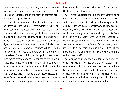ter of what era—history, biography and unconventional writers, who, free from cant and convention, like Montaigne, honestly and in the spirit of common sense philosophize upon realities.

In this line of reading he found confirmation of his own more reasoned thoughts—confirmation which he had vainly sought in social converse, so that as touching most fundamental topics, there had got to be established in him some positive convictions, which he forefelt would abide in him essentially unmodified so long as his intelligent part remained unimpaired. In view of the troubled period in which his lot was cast this was well for him. His settled convictions were as a dyke against those invading waters of novel opinion, social, political and otherwise, which carried away as in a torrent no few minds in those days, minds by nature not inferior to his own. While other members of that aristocracy to which by birth he belonged were incensed at the innovators mainly because their theories were inimical to the privileged classes, not alone Captain Vere disinterestedly opposed them because they seemed to him incapable of embodiment in lasting

institutions, but at war with the peace of the world and the true welfare of mankind.

With minds less stored than his and less earnest, some officers of his rank, with whom at times he would necessarily consort, found him lacking in the companionable quality, a dry and bookish gentleman, as they deemed. Upon any chance withdrawal from their company one would be apt to say to another, something like this: "Vere is a noble fellow, Starry Vere. Spite the gazettes, Sir Horatio" (meaning him with the Lord title) "is at bottom scarce a better seaman or fighter. But between you and me now, don't you think there is a queer streak of the pedantic running thro' him? Yes, like the King's yarn in a coil of navy-rope?"

Some apparent ground there was for this sort of confidential criticism; since not only did the Captain's discourse never fall into the jocosely familiar, but in illustrating of any point touching the stirring personages and events of the time he would be as apt to cite some historic character or incident of antiquity as that he would cite from the moderns. He seemed unmindful of the cir-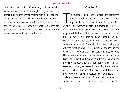cumstance that to his bluff company such remote allusions, however pertinent they might really be, were altogether alien to men whose reading was mainly confined to the journals. But considerateness in such matters is not easy to natures constituted like Captain Vere's. Their honesty prescribes to them directness, sometimes farreaching like that of a migratory fowl that in its flight never heeds when it crosses a frontier.

#### **Chapter 8**

The lieutenants and other commissioned gentlemen<br>forming Captain Vere's staff it is not necessary here<br>to particularize, nor needs it to make any mention<br>of any of the warrant-officers. But among the petty-ofhe lieutenants and other commissioned gentlemen forming Captain Vere's staff it is not necessary here to particularize, nor needs it to make any mention ficers was one who having much to do with the story, may as well be forthwith introduced. His portrait I essay, but shall never hit it. This was John Claggart, the Master-at-arms. But that sea-title may to landsmen seem somewhat equivocal. Originally, doubtless, that pettyofficer's function was the instruction of the men in the use of arms, sword or cutlas. But very long ago, owing to the advance in gunnery making hand-to-hand encounters less frequent and giving to nitre and sulphur the preeminence over steel, that function ceased; the Master-at-arms of a great war-ship becoming a sort of Chief of Police, charged among other matters with the duty of preserving order on the populous lower gun decks.

Claggart was a man about five and thirty, somewhat spare and tall, yet of no ill figure upon the whole. His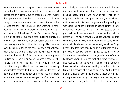hand was too small and shapely to have been accustomed to hard toil. The face was a notable one; the features all except the chin cleanly cut as those on a Greek medallion; yet the chin, beardless as Tecumseh's, had something of strange protuberant heaviness in its make that recalled the prints of the Rev. Dr. Titus Oates, the historic deponent with the clerical drawl in the time of Charles II and the fraud of the alleged Popish Plot. It served Claggart in his office that his eye could cast a tutoring glance. His brow was of the sort phrenologically associated with more than average intellect; silken jet curls partly clustering over it, making a foil to the pallor below, a pallor tinged with a faint shade of amber akin to the hue of timetinted marbles of old. This complexion, singularly contrasting with the red or deeply bronzed visages of the sailors, and in part the result of his official seclusion from the sunlight, tho' it was not exactly displeasing, nevertheless seemed to hint of something defective or abnormal in the constitution and blood. But his general aspect and manner were so suggestive of an education and career incongruous with his naval function that when

not actively engaged in it he looked a man of high quality, social and moral, who for reasons of his own was keeping incog. Nothing was known of his former life. It might be that he was an Englishman; and yet there lurked a bit of accent in his speech suggesting that possibly he was not such by birth, but through naturalization in early childhood. Among certain grizzled sea- gossips of the gun decks and forecastle went a rumor perdue that the Master-at-arms was a *chevalier* who had volunteered into the King's Navy by way of compounding for some mysterious swindle whereof he had been arraigned at the King's Bench. The fact that nobody could substantiate this report was, of course, nothing against its secret currency. Such a rumor once started on the gun decks in reference to almost anyone below the rank of a commissioned officer would, during the period assigned to this narrative, have seemed not altogether wanting in credibility to the tarry old wiseacres of a man-of-war crew. And indeed a man of Claggart's accomplishments, without prior nautical experience, entering the navy at mature life, as he did, and necessarily allotted at the start to the lowest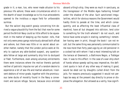grade in it; a man, too, who never made allusion to his previous life ashore; these were circumstances which in the dearth of exact knowledge as to his true antecedents opened to the invidious a vague field for unfavorable surmise.

But the sailors' dog-watch gossip concerning him derived a vague plausibility from the fact that now for some period the British Navy could so little afford to be squeamish in the matter of keeping up the muster- rolls, that not only were press-gangs notoriously abroad both afloat and ashore, but there was little or no secret about another matter, namely that the London police were at liberty to capture any able-bodied suspect, any questionable fellow at large and summarily ship him to dockyard or fleet. Furthermore, even among voluntary enlistments there were instances where the motive thereto partook neither of patriotic impulse nor yet of a random desire to experience a bit of sea-life and martial adventure. Insolvent debtors of minor grade, together with the promiscuous lame ducks of morality found in the Navy a convenient and secure refuge. Secure, because once enlisted

aboard a King's-ship, they were as much in sanctuary, as the transgressor of the Middle Ages harboring himself under the shadow of the altar. Such sanctioned irregularities, which for obvious reasons the Government would hardly think to parade at the time, and which consequently, and as affecting the least influential class of mankind, have all but dropped into oblivion, lend color to something for the truth whereof I do not vouch, and hence have some scruple in stating; something I remember having seen in print, though the book I can not recall; but the same thing was personally communicated to me now more than forty years ago by an old pensioner in a cocked hat with whom I had a most interesting talk on the terrace at Greenwich, a Baltimore Negro, a Trafalgar man. It was to this effect: In the case of a war-ship short of hands whose speedy sailing was imperative, the deficient quota in lack of any other way of making it good, would be eked out by draughts culled direct from the jails. For reasons previously suggested it would not perhaps be easy at the present day directly to prove or disprove the allegation. But allowed as a verity, how signifi-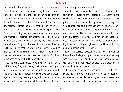cant would it be of England's straits at the time, confronted by those wars which like a flight of harpies rose shrieking from the din and dust of the fallen Bastille. That era appears measurably clear to us who look back at it, and but read of it. But to the grandfathers of us graybeards, the more thoughtful of them, the genius of it presented an aspect like that of Camoëns' Spirit of the Cape, an eclipsing menace mysterious and prodigious. Not America was exempt from apprehension. At the height of Napoleon's unexampled conquests, there were Americans who had fought at Bunker Hill who looked forward to the possibility that the Atlantic might prove no barrier against the ultimate schemes of this French upstart from the revolutionary chaos who seemed in act of fulfilling judgement prefigured in the Apocalypse.

But the less credence was to be given to the gun-deck talk touching Claggart, seeing that no man holding his office in a man-of-war can ever hope to be popular with the crew. Besides, in derogatory comments upon anyone against whom they have a grudge, or for any reason or no reason mislike, sailors are much like landsmen; they are

apt to exaggerate or romance it.

About as much was really known to the *Indomitable's* tars of the Master-at-arms' career before entering the service as an astronomer knows about a comet's travels prior to its first observable appearance in the sky. The verdict of the sea quid-nuncs has been cited only by way of showing what sort of moral impression the man made upon rude uncultivated natures whose conceptions of human wickedness were necessarily of the narrowest, limited to ideas of vulgar rascality,—a thief among the swinging hammocks during a night-watch, or the man brokers and land-sharks of the sea-ports.

It was no gossip, however, but fact, that though, as before hinted, Claggart upon his entrance into the navy was, as a novice, assigned to the least honourable section of a man-of-war's crew, embracing the drudgery, he did not long remain there.

The superior capacity he immediately evinced, his constitutional sobriety, ingratiating deference to superiors, together with a peculiar ferreting genius manifested on a singular occasion; all this capped by a certain austere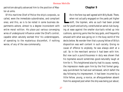patriotism abruptly advanced him to the position of Master-at-arms.

Of this maritime Chief of Police the ship's-corporals, so called, were the immediate subordinates, and compliant ones; and this, as is to be noted in some business departments ashore, almost to a degree inconsistent with entire moral volition. His place put various converging wires of underground influence under the Chief's control, capable when astutely worked thro' his understrappers, of operating to the mysterious discomfort, if nothing worse, of any of the sea-commonalty.

#### **Chapter 9**

Ife in the fore-top well agreed with Billy Budd. There,<br>when not actually engaged on the yards yet higher<br>aloft, the topmen, who as such had been picked<br>out for youth and activity, constituted an aerial club loungife in the fore-top well agreed with Billy Budd. There, when not actually engaged on the yards yet higher aloft, the topmen, who as such had been picked ing at ease against the smaller stun'sails rolled up into cushions, spinning yarns like the lazy gods, and frequently amused with what was going on in the busy world of the decks below. No wonder then that a young fellow of Billy's disposition was well content in such society. Giving no cause of offence to anybody, he was always alert at a call. So in the merchant service it had been with him. But now such a punctiliousness in duty was shown that his topmates would sometimes good-naturedly laugh at him for it. This heightened alacrity had its cause, namely, the impression made upon him by the first formal gangway-punishment he had ever witnessed, which befell the day following his impressment. It had been incurred by a little fellow, young, a novice, an afterguardsman absent from his assigned post when the ship was being put about;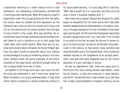a dereliction resulting in a rather serious hitch to that manoeuvre, one demanding instantaneous promptitude in letting go and making fast. When Billy saw the culprit's naked back under the scourge gridironed with red welts, and worse; when he marked the dire expression on the liberated man's face as with his woolen shirt flung over him by the executioner he rushed forward from the spot to bury himself in the crowd, Billy was horrified. He resolved that never through remissness would he make himself liable to such a visitation or do or omit aught that might merit even verbal reproof. What then was his surprise and concern when ultimately he found himself getting into petty trouble occasionally about such matters as the stowage of his bag or something amiss in his hammock, matters under the police oversight of the ship'scorporals of the lower decks, and which brought down on him a vague threat from one of them.

So heedful in all things as he was, how could this be? He could not understand it, and it more than vexed him. When he spoke to his young topmates about it they were either lightly incredulous or found something comical in

his unconcealed anxiety. "Is it your bag, Billy?" said one. "Well, sew yourself up in it, bully boy, and then you'll be sure to know if anybody meddles with it."

Now there was a veteran aboard who because his years began to disqualify him for more active work had been recently assigned duty as mainmastman in his watch, looking to the gear belayed at the rail roundabout that great spar near the deck. At off-times the Foretopman had picked up some acquaintance with him, and now in his trouble it occurred to him that he might be the sort of person to go to for wise counsel. He was an old Dansker long anglicized in the service, of few words, many wrinkles and some honorable scars. His wizened face, time-tinted and weather-stained to the complexion of an antique parchment, was here and there peppered blue by the chance explosion of a gun-cartridge in action.

He was an *Agamemnon* man; some two years prior to the time of this story having served under Nelson, when but Sir Horatio, in that ship immortal in naval memory, and which, dismantled and in part broken up to her bare ribs, is seen a grand skeleton in Haydon's etching. As one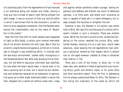of a boarding-party from the *Agamemnon* he had received a cut slantwise along one temple and cheek, leaving a long scar like a streak of dawn's light falling athwart the dark visage. It was on account of that scar and the affair in which it was known that he had received it, as well as from his blue-peppered complexion, that the Dansker went among the *Indomitable's* crew by the name of "Boardher-in-the-smoke."

Now the first time that his small weazel-eyes happened to light on Billy Budd, a certain grim internal merriment set all his ancient wrinkles into antic play. Was it that his eccentric unsentimental old sapience, primitive in its kind, saw or thought it saw something which, in contrast with the war-ship's environment, looked oddly incongruous in the Handsome Sailor? But after slyly studying him at intervals, the old Merlin's equivocal merriment was modified; for now when the twain would meet, it would start in his face a quizzing sort of look, but it would be but momentary and sometimes replaced by an expression of speculative query as to what might eventually befall a nature like that, dropped into a world not without some man—traps

and against whose subtleties simple courage, lacking experience and address and without any touch of defensive ugliness, is of little avail; and where such innocence as man is capable of does yet in a moral emergency not always sharpen the faculties or enlighten the will.

However it was, the Dansker in his ascetic way rather took to Billy. Nor was this only because of a certain philosophic interest in such a character. There was another cause. While the old man's eccentricities, sometimes bordering on the ursine, repelled the juniors, Billy, undeterred thereby, revering him as a salt hero, would make advances, never passing the old *Agamemnon* man without a salutation marked by that respect which is seldom lost on the aged however crabbed at times or whatever their station in life.

There was a vein of dry humor, or what not, in the mast-man; and, whether in freak of patriarchal irony touching Billy's youth and athletic frame, or for some other and more recondite reason, from the first in addressing him he always substituted *Baby* for Billy. The Dansker in fact being the originator of the name by which the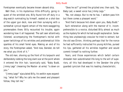Foretopman eventually became known aboard ship.

Well then, in his mysterious little difficulty, going in quest of the wrinkled one, Billy found him off duty in a dog-watch ruminating by himself, seated on a shot-box of the upper gun deck, now and then surveying with a somewhat cynical regard certain of the more swaggering promenaders there. Billy recounted his trouble, again wondering how it all happened. The salt seer attentively listened, accompanying the Foretopman's recital with queer twitchings of his wrinkles and problematical little sparkles of his small ferret eyes. Making an end of his story, the Foretopman asked, "And now, Dansker, do tell me what you think of it."

The old man, shoving up the front of his tarpaulin and deliberately rubbing the long slant scar at the point where it entered the thin hair, laconically said, "Baby Budd, *Jimmy Legs"* (meaning the Master- at-arms) "is down on you."

"*Jimmy Legs!"* ejaculated Billy, his welkin eyes expanding; "what for? Why he calls me the sweet and pleasant fellow, they tell me."

"Does he so?" grinned the grizzled one; then said, "Ay, Baby Lad, a sweet voice has Jimmy Legs."

"No, not always. But to me he has. I seldom pass him but there comes a pleasant word."

"And that's because he's down upon you, Baby Budd." Such reiteration along with the manner of it, incomprehensible to a novice, disturbed Billy almost as much as the mystery for which he had sought explanation. Something less unpleasingly oracular he tried to extract; but the old sea-Chiron, thinking perhaps that for the nonce he had sufficiently instructed his young Achilles, pursed his lips, gathered all his wrinkles together and would commit himself to nothing further.

Years, and those experiences which befall certain shrewder men subordinated life-long to the will of superiors, all this had developed in the Dansker the pithy guarded cynicism that was his leading characteristic.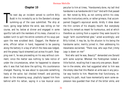#### **Chapter 10**

The next day an incident served to confirm Billy<br>Budd in his incredulity as to the Dansker's strange<br>summing-up of the case submitted. The ship at<br>noon, going large before the wind, was rolling on her he next day an incident served to confirm Billy Budd in his incredulity as to the Dansker's strange summing-up of the case submitted. The ship at course, and he, below at dinner and engaged in some sportful talk with the members of his mess, chanced in a sudden lurch to spill the entire contents of his soup-pan upon the new scrubbed deck. Claggart, the Master-atarms, official rattan in hand, happened to be passing along the battery in a bay of which the mess was lodged, and the greasy liquid streamed just across his path. Stepping over it, he was proceeding on his way without comment, since the matter was nothing to take notice of under the circumstances, when he happened to observe who it was that had done the spilling. His countenance changed. Pausing, he was about to ejaculate something hasty at the sailor, but checked himself, and pointing down to the streaming soup, playfully tapped him from behind with his rattan, saying in a low musical voice

peculiar to him at times, "Handsomely done, my lad! And handsome is as handsome did it too!" And with that passed on. Not noted by Billy, as not coming within his view, was the involuntary smile, or rather grimace, that accompanied Claggart's equivocal words. Aridly it drew down the thin corners of his shapely mouth. But everybody taking his remark as meant for humourous, and at which therefore as coming from a superior they were bound to laugh "with counterfeited glee," acted accordingly; and Billy tickled, it may be, by the allusion to his being the handsome sailor, merrily joined in; then addressing his messmates exclaimed, "There now, who says that Jimmy Legs is down on me!"

"And who said he was, Beauty?" demanded one Donald with some surprise. Whereat the Foretopman looked a little foolish, recalling that it was only one person, Boardher-in-the-smoke, who had suggested what to him was the smoky idea that this Master-at-arms was in any peculiar way hostile to him. Meantime that functionary, resuming his path, must have momentarily worn some expression less guarded than that of the bitter smile, and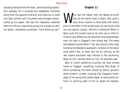usurping the face from the heart, some distorting expression perhaps; for a drummer-boy heedlessly frolicking along from the opposite direction and chancing to come into light collision with his person was strangely disconcerted by his aspect. Nor was the impression lessened when the official, impulsively giving him a sharp cut with the rattan, vehemently exclaimed, "Look where you go!"

#### **Chapter 11**

Mhat was the matter with the Master-at-arms?<br>And, be the matter what it might, how could it<br>have direct relation to Billy Budd with whom,<br>prior to the affair of the spilled soun, he had never come And, be the matter what it might, how could it have direct relation to Billy Budd with whom, prior to the affair of the spilled soup, he had never come into any special contact, official or otherwise? What indeed could the trouble have to do with one so little inclined to give offence as the merchant-ship's peacemaker, even him who in Claggart's own phrase was "the sweet and pleasant young fellow"? Yes, why should Jimmy Legs, to borrow the Dansker's expression, be down on the Handsome Sailor? But, at heart and not for nothing, as the late chance encounter may indicate to the discerning, down on him, secretly down on him, he assuredly was.

Now to invent something touching the more private career of Claggart, something involving Billy Budd, of which something the latter should be wholly ignorant, some romantic incident implying that Claggart's knowledge of the young blue-jacket began at some period anterior to catching sight of him on board the seventy-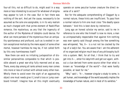four-all this, not so difficult to do, might avail in a way more or less interesting to account for whatever of enigma may appear to lurk in the case. But in fact there was nothing of the sort. And yet the cause, necessarily to be assumed as the sole one assignable, is in its very realism as much charged with that prime element of Radcliffian romance, the mysterious, as any that the ingenuity of the author of the *Mysteries of Udolpho* could devise. For what can more partake of the mysterious than an antipathy spontaneous and profound, such as is evoked in certain exceptional mortals by the mere aspect of some other mortal, however harmless he may be, if not called forth by this very harmlessness itself?

Now there can exist no irritating juxtaposition of dissimilar personalities comparable to that which is possible aboard a great war-ship fully manned and at sea. There, every day among all ranks almost every man comes into more or less of contact with almost every other man. Wholly there to avoid even the sight of an aggravating object one must needs give it Jonah's toss or jump overboard himself. Imagine how all this might eventually

operate on some peculiar human creature the direct reverse of a saint?

But for the adequate comprehending of Claggart by a normal nature, these hints are insufficient. To pass from a normal nature to him one must cross "the deadly space between." And this is best done by indirection.

Long ago an honest scholar my senior, said to me in reference to one who like himself is now no more, a man so unimpeachably respectable that against him nothing was ever openly said though among the few something was whispered, 'Yes, X— is a nut not be cracked by the tap of a lady's fan. You are aware that I am the adherent of no organized religion much less of any philosophy built into a system. Well, for all that, I think that to try and get into X—, enter his labyrinth and get out again, without a clue derived from some source other than what is known as "knowledge of the world"—that were hardly possible, at least for me."

"Why," said I, "X—, however singular a study to some, is yet human, and knowledge of the world assuredly implies the knowledge of human nature, and in most of its varieties."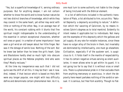"Yes, but a superficial knowledge of it, serving ordinary purposes. But for anything deeper, I am not certain whether to know the world and to know human nature be not two distinct branches of knowledge, which while they may coexist in the same heart, yet either may exist with little or nothing of the other. Nay, in an average man of the world, his constant rubbing with it blunts that fine spiritual insight indispensable to the understanding of the essential in certain exceptional characters, whether evil ones or good. In a matter of some importance I have seen a girl wind an old lawyer about her little finger. Nor was it the dotage of senile love. Nothing of the sort. But he knew law better than he knew the girl's heart. Coke and Blackstone hardly shed so much light into obscure spiritual places as the Hebrew prophets. And who were they? Mostly recluses."

At the time my inexperience was such that I did not quite see the drift of all this. It may be that I see it now. And, indeed, if that lexicon which is based on Holy Writ were any longer popular, one might with less difficulty define and denominate certain phenomenal men. As it is,

one must turn to some authority not liable to the charge of being tinctured with the Biblical element.

In a list of definitions included in the authentic translation of Plato, a list attributed to him, occurs this: "Natural Depravity: a depravity according to nature." A definition which tho' savoring of Calvinism, by no means involves Calvin's dogmas as to total mankind. Evidently its intent makes it applicable but to individuals. Not many are the examples of this depravity which the gallows and jail supply. At any rate for notable instances, since these have no vulgar alloy of the brute in them, but invariably are dominated by intellectuality, one must go elsewhere. Civilization, especially if of the austerer sort, is auspicious to it. It folds itself in the mantle of respectability. It has its certain negative virtues serving as silent auxiliaries. It never allows wine to get within its guard. It is not going too far to say that it is without vices or small sins. There is a phenomenal pride in it that excludes them from anything mercenary or avaricious. In short the depravity here meant partakes nothing of the sordid or sensual. It is serious, but free from acerbity. Though no flat-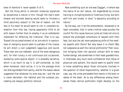terer of mankind it never speaks ill of it.

But the thing which in eminent instances signalizes so exceptional a nature is this: though the man's even temper and discreet bearing would seem to intimate a mind peculiarly subject to the law of reason, not the less in his heart he would seem to riot in complete exemption from that law, having apparently little to do with reason further than to employ it as an ambidexter implement for effecting the irrational. That is to say: Toward the accomplishment of an aim which in wantonness of malignity would seem to partake of the insane, he will direct a cool judgement sagacious and sound. These men are true madmen, and of the most dangerous sort, for their lunacy is not continuous but occasional, evoked by some special object; it is probably secretive, which is as much to say it is self-contained, so that when moreover, most active, it is to the average mind not distinguishable from sanity, and for the reason above suggested that whatever its aims may be—and the aim is never declared—the method and the outward proceeding are always perfectly rational.

Now something such an one was Claggart, in whom was the mania of an evil nature, not engendered by vicious training or corrupting books or licentious living, but born with him and innate, in short "a depravity according to nature."

By the way, can it be the phenomenon, disowned or at least concealed, that in some criminal cases puzzles the courts? For this cause have our juries at times not only to endure the prolonged contentions of lawyers with their fees, but also the yet more perplexing strife of the medical experts with theirs? But why leave it to them? Why not subpoena as well the clerical proficients? Their vocation bringing them into peculiar contact with so many human beings, and sometimes in their least guarded hour, in interviews very much more confidential than those of physician and patient; this would seem to qualify them to know something about those intricacies involved in the question of moral responsibility; whether in a given case, say, the crime proceeded from mania in the brain or rabies of the heart. As to any differences among themselves these clerical proficients might develop on the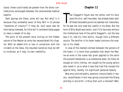stand, these could hardly be greater than the direct contradictions exchanged between the remunerated medical experts.

Dark sayings are these, some will say. But why? Is it because they somewhat savor of Holy Writ in its phrase "mysteries of iniquity"? If they do, such savor was far from being intended, for little will it commend these pages to many a reader of to-day.

The point of the present story turning on the hidden nature of the Master-at-arms has necessitated this chapter. With an added hint or two in connection with the incident at the mess, the resumed narrative must be left to vindicate, as it may, its own credibility.

#### **Chapter 12**

hat Claggart's figure was not amiss, and his face,<br>save the chin, well moulded, has already been said.<br>Of these favorable points he seemed not insensible,<br>for he was not only neat but careful in his dress. But the hat Claggart's figure was not amiss, and his face, save the chin, well moulded, has already been said. Of these favorable points he seemed not insensible, form of Billy Budd was heroic; and if his face was without the intellectual look of the pallid Claggart's, not the less was it lit, like his, from within, though from a different source. The bonfire in his heart made luminous the rosetan in his cheek.

In view of the marked contrast between the persons of the twain, it is more than probable that when the Master-at-arms in the scene last given applied to the sailor the proverb Handsome is as handsome does, he there let escape an ironic inkling, not caught by the young sailors who heard it, as to what it was that had first moved him against Billy, namely, his significant personal beauty.

Now envy and antipathy, passions irreconcilable in reason, nevertheless in fact may spring conjoined like Chang and Eng in one birth. Is Envy then such a monster? Well,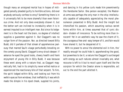though many an arraigned mortal has in hopes of mitigated penalty pleaded guilty to horrible actions, did ever anybody seriously confess to envy? Something there is in it universally felt to be more shameful than even felonious crime. And not only does everybody disown it, but the better sort are inclined to incredulity when it is in earnest imputed to an intelligent man. But since its lodgement is in the heart not the brain, no degree of intellect supplies a guarantee against it. But Claggart's was no vulgar form of the passion. Nor, as directed toward Billy Budd, did it partake of that streak of apprehensive jealousy that marred Saul's visage perturbedly brooding on the comely young David. Claggart's envy struck deeper. If askance he eyed the good looks, cheery health and frank enjoyment of young life in Billy Budd, it was because these went along with a nature that, as Claggart magnetically felt, had in its simplicity never willed malice or experienced the reactionary bite of that serpent. To him, the spirit lodged within Billy, and looking out from his welkin eyes as from windows, that ineffability it was which made the dimple in his dyed cheek, suppled his joints,

and dancing in his yellow curls made him preeminently the Handsome Sailor. One person excepted, the Masterat-arms was perhaps the only man in the ship intellectually capable of adequately appreciating the moral phenomenon presented in Billy Budd. And the insight but intensified his passion, which assuming various secret forms within him, at times assumed that of cynic disdain- disdain of innocence. To be nothing more than innocent! Yet in an aesthetic way he saw the charm of it, the courageous free-and- easy temper of it, and fain would have shared it, but he despaired of it.

With no power to annul the elemental evil in him, tho' readily enough he could hide it; apprehending the good, but powerless to be it; a nature like Claggart's surcharged with energy as such natures almost invariably are, what recourse is left to it but to recoil upon itself and like the scorpion for which the Creator alone is responsible, act out to the end the part allotted it.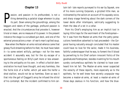# **Chapter 13**

assion, and passion in its profoundest, is not a thing demanding a palatial stage whereon to play its part. Down among the groundlings, among the beggars and rakers of the garbage, profound passion is assion, and passion in its profoundest, is not a thing demanding a palatial stage whereon to play its part. Down among the groundlings, among the enacted. And the circumstances that provoke it, however trivial or mean, are no measure of its power. In the present instance the stage is a scrubbed gun deck, and one of the external provocations a man- of-war's-man's spilled soup.

Now when the Master-at-arms noticed whence came that greasy fluid streaming before his feet, he must have taken it—to some extent wilfully, perhaps—not for the mere accident it assuredly was, but for the sly escape of a spontaneous feeling on Billy's part more or less answering to the antipathy on his own. In effect a foolish demonstration he must have thought, and very harmless, like the futile kick of a heifer, which yet were the heifer a shod stallion, would not be so harmless. Even so was it that into the gall of Claggart's envy he infused the vitriol of his contempt. But the incident confirmed to him certain tell- tale reports purveyed to his ear by Squeak, one of his more cunning Corporals, a grizzled little man, so nicknamed by the sailors on account of his squeaky voice, and sharp visage ferreting about the dark corners of the lower decks after interlopers, satirically suggesting to them the idea of a rat in a cellar.

From his Chief's employing him as an implicit tool in laying little traps for the worriment of the Foretopman for it was from the Master-at-arms that the petty persecutions heretofore adverted to had proceeded—the Corporal having naturally enough concluded that his master could have no love for the sailor, made it his business, faithful understrapper that he was, to foment the ill blood by perverting to his Chief certain innocent frolics of the goodnatured Foretopman, besides inventing for his mouth sundry contumelious epithets he claimed to have overheard him let fall. The Master-at-arms never suspected the veracity of these reports, more especially as to the epithets, for he well knew how secretly unpopular may become a master-at-arms, at least a master-at-arms of those days zealous in his function, and how the blue-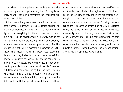jackets shoot at him in private their raillery and wit; the nickname by which he goes among them (Jimmy Legs) implying under the form of merriment their cherished disrespect and dislike.

But in view of the greediness of hate for patrolmen, it hardly needed a purveyor to feed Claggart's passion. An uncommon prudence is habitual with the subtler depravity, for it has everything to hide. And in case of an injury but suspected, its secretiveness voluntarily cuts it off from enlightenment or disillusion; and, not unreluctantly, action is taken upon surmise as upon certainty. And the retaliation is apt to be in monstrous disproportion to the supposed offence; for when in anybody was revenge in its exactions aught else but an inordinate usurer? But how with Claggart's conscience? For though consciences are unlike as foreheads, every intelligence, not excluding the Scriptural devils who "believe and tremble," has one. But Claggart's conscience being but the lawyer to his will, made ogres of trifles, probably arguing that the motive imputed to Billy in spilling the soup just when he did, together with the epithets alleged, these, if nothing

more, made a strong case against him; nay, justified animosity into a sort of retributive righteousness. The Pharisee is the Guy Fawkes prowling in the hid chambers underlying the Claggarts. And they can really form no conception of an unreciprocated malice. Probably, the Master-at-arms' clandestine persecution of Billy was started to try the temper of the man; but it had not developed any quality in him that enmity could make official use of or even pervert into plausible self-justification; so that the occurrence at the mess, petty if it were, was a welcome one to that peculiar conscience assigned to be the private mentor of Claggart. And, for the rest, not improbably it put him upon new experiments.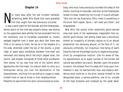# **Chapter 14**

ot many days after the last incident narrated,<br>something befell Billy Budd that more gravelled<br>him than aught that had previously occurred.<br>It was a warm pight for the latitude: and the Foretonman something befell Billy Budd that more gravelled him than aught that had previously occurred.

It was a warm night for the latitude; and the Foretopman, whose watch at the time was properly below, was dozing on the uppermost deck whither he had ascended from his hot hammock, one of hundreds suspended so closely wedged together over a lower gun deck that there was little or no swing to them. He lay as in the shadow of a hill-side, stretched under the lee of the booms, a piled ridge of spare spars amidships between fore-mast and mainmast and among which the ship's largest boat, the launch, was stowed. Alongside of three other slumberers from below, he lay near that end of the booms which approaches the fore-mast; his station aloft on duty as a foretopman being just over the deckstation of the forecastlemen, entitling him according to usage to make himself more or less at home in that neighbourhood. Presently he was stirred into semi-consciousness by some-

body, who must have previously sounded the sleep of the others, touching his shoulder, and then as the Foretopman raised his head, breathing into his ear in a quick whisper, "Slip into the lee forechains, Billy; there is something in the wind. Don't speak. Quick, I will meet you there"; and disappeared.

Now Billy like sundry other essentially good-natured ones had some of the weaknesses inseparable from essential good-nature; and among these was a reluctance, almost an incapacity of plumply saying no to an abrupt proposition not obviously absurd, on the face of it, nor obviously unfriendly, nor iniquitous. And being of warm blood he had not the phlegm tacitly to negative any proposition by unresponsive inaction. Like his sense of fear, his apprehension as to aught outside of the honest and natural was seldom very quick. Besides, upon the present occasion, the drowse from his sleep still hung upon him. However it was, he mechanically rose, and sleepily wondering what could be in the wind, betook himself to the designated place, a narrow platform, one of six, outside of the high bulwarks and screened by the great dead-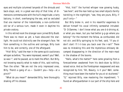eyes and multiple columned lanyards of the shrouds and back-stays; and, in a great war-ship of that time, of dimensions commensurate with the hull's magnitude; a tarry balcony, in short, overhanging the sea, and so secluded that one mariner of the *Indomitable,* a non-conformist old tar of a serious turn, made it even in daytime his private oratory.

In this retired nook the stranger soon joined Billy Budd. There was no moon as yet; a haze obscured the starlight. He could not distinctly see the stranger's face. Yet from something in the outline and carriage, Billy took him to be, and correctly, one of the afterguard.

"Hist! Billy," said the man in the same quick cautionary whisper as before; "You were impressed, weren't you? Well, so was I"; and he paused, as to mark the effect. But Billy, not knowing exactly what to make of this, said nothing. Then the other: "We are not the only impressed ones, Billy. There's a gang of us.— Couldn't you—help—at a pinch?"

"What do you mean?" demanded Billy, here thoroughly shaking off his drowse.

"Hist, hist!" the hurried whisper now growing husky, "see here"; and the man held up two small objects faintly twinkling in the nightlight; "see, they are yours, Billy, if you'll only—"

But Billy broke in, and in his resentful eagerness to deliver himself his vocal infirmity somewhat intruded: "D- D-Damme, I don't know what you are d-d-driving at, or what you mean, but you had better g-g-go where you belong!" For the moment the fellow, as confounded, did not stir; and Billy springing to his feet, said, "If you ddon't start I'll t-t-toss you back over the r-rail!" There was no mistaking this and the mysterious emissary decamped disappearing in the direction of the main-mast in the shadow of the booms.

"Hallo, what's the matter?" here came growling from a forecastleman awakened from his deck-doze by Billy's raised voice. And as the Foretopman reappeared and was recognized by him; "Ah, Beauty, is it you? Well, something must have been the matter for you st-st-stuttered." "O," rejoined Billy, now mastering the impediment; "I found an afterguardsman in our part of the ship here and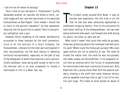I bid him be off where he belongs."

"And is that all you did about it, Foretopman?" gruffly demanded another, an irascible old fellow of brick- colored visage and hair, and who was known to his associate forecastlemen as Red Pepper; "Such sneaks I should like to marry to the gunner's daughter!" by that expression meaning that he would like to subject them to disciplinary castigation over a gun.

However, Billy's rendering of the matter satisfactorily accounted to these inquirers for the brief commotion, since of all the sections of a ship's company, the forecastlemen, veterans for the most part and bigoted in their sea-prejudices, are the most jealous in resenting territorial encroachments, especially on the part of any of the afterguard, of whom they have but a sorry opinion, chiefly landsmen, never going aloft except to reef or furl the mainsail and in no wise competent to handle a marlinspike or turn in a dead- eye, say.

# **Chapter 15**

his incident sorely puzzled Billy Budd. It was an entirely new experience; the first time in his life that he had ever been personally approached in underhand intriguing fashion. Prior to this encounter he his incident sorely puzzled Billy Budd. It was an entirely new experience; the first time in his life that he had ever been personally approached in had known nothing of the afterguardsman, the two men being stationed wide apart, one forward and aloft during his watch, the other on deck and aft.

What could it mean? And could they really be guineas, those two glittering objects the interloper had held up to his eyes? Where could the fellow get guineas? Why even spare buttons are not so plentiful at sea. The more he turned the matter over, the more he was non-plussed, and made uneasy and discomforted. In his disgustful recoil from an overture which tho' he but ill comprehended he instinctively knew must involve evil of some sort, Billy Budd was like a young horse fresh from the pasture suddenly inhaling a vile whiff from some chemical factory, and by repeated snortings tries to get it out of his nostrils and lungs. This frame of mind barred all desire of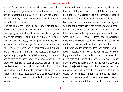holding further parley with the fellow, even were it but for the purpose of gaining some enlightenment as to his design in approaching him. And yet he was not without natural curiosity to see how such a visitor in the dark would look in broad day.

He espied him the following afternoon, in his first dogwatch, below, one of the smokers on that forward part of the upper gun deck allotted to the pipe. He recognized him by his general cut and build, more than by his round freckled face and glassy eyes of pale blue, veiled with lashes all but white. And yet Billy was a bit uncertain whether indeed it were he—yonder chap about his own age chatting and laughing in free-hearted way, leaning against a gun; a genial young fellow enough to look at, and something of a rattlebrain, to all appearance. Rather chubby too for a sailor, even an afterguardsman. In short the last man in the world, one would think, to be overburthened with thoughts, especially those perilous thoughts that must needs belong to a conspirator in any serious project, or even to the underling of such a conspirator.

Altho' Billy was not aware of it, the fellow, with a sidelong watchful glance had perceived Billy first, and then noting that Billy was looking at him, thereupon nodded a familiar sort of friendly recognition as to an old acquaintance, without interrupting the talk he was engaged in with the group of smokers. A day or two afterwards, chancing in the evening promenade on a gun deck to pass Billy, he offered a flying word of good-fellowship, as it were, which by its unexpectedness, and equivocalness under the circumstances so embarrassed Billy that he knew not how to respond to it, and let it go unnoticed.

Billy was now left more at a loss than before. The ineffectual speculation into which he was led was so disturbingly alien to him, that he did his best to smother it. It never entered his mind that here was a matter which from its extreme questionableness, it was his duty as a loyal blue-jacket to report in the proper quarter. And, probably, had such a step been suggested to him, he would have been deterred from taking it by the thought, one of novice-magnanimity, that it would savor overmuch of the dirty work of a telltale. He kept the thing to him-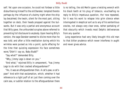self. Yet upon one occasion, he could not forbear a little disburthening himself to the old Dansker, tempted thereto perhaps by the influence of a balmy night when the ship lay becalmed; the twain, silent for the most part, sitting together on deck, their heads propped against the bulwarks. But it was only a partial and anonymous account that Billy gave, the unfounded scruples above referred to preventing full disclosure to anybody. Upon hearing Billy's version, the sage Dansker seemed to divine more than he was told; and after a little meditation during which his wrinkles were pursed as into a point, quite effacing for the time that quizzing expression his face sometimes wore,"Didn't I say so, Baby Budd?"

"Say what?" demanded Billy.

"Why, *Jimmy Legs* is down on you."

"And what," rejoined Billy in amazement, "has *Jimmy Legs* to do with that cracked afterguardsman?"

"Ho, it was an afterguardsman then. A cat's-paw, a cat'spaw!" And with that exclamation, which, whether it had reference to a light puff of air just then coming over the calm sea, or subtler relation to the afterguardsman there

is no telling, the old Merlin gave a twisting wrench with his black teeth at his plug of tobacco, vouchsafing no reply to Billy's impetuous question, tho' now repeated, for it was his wont to relapse into grim silence when interrogated in skeptical sort as to any of his sententious oracles, not always very clear ones, rather partaking of that obscurity which invests most Delphic deliverances from any quarter.

Long experience had very likely brought this old man to that bitter prudence which never interferes in aught and never gives advice.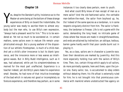# **Chapter 16**

Yes, despite the Dansker's pithy insistence as to the<br>Master-at-arms being at the bottom of these strange<br>experiences of Billy on board the *Indomitable*, the<br>young sailor was ready to ascribe them to almost anyes, despite the Dansker's pithy insistence as to the Master-at-arms being at the bottom of these strange experiences of Billy on board the *Indomitable,* the body but the man who, to use Billy's own expression, "always had a pleasant word for him." This is to be wondered at. Yet not so much to be wondered at. In certain matters, some sailors even in mature life remain unsophisticated enough. But a young seafarer of the disposition of our athletic Foretopman, is much of a child-man. And yet a child's utter innocence is but its blank ignorance, and the innocence more or less wanes as intelligence waxes. But in Billy Budd intelligence, such as it was, had advanced, while yet his simplemindedness remained for the most part unaffected. Experience is a teacher indeed; yet did Billy's years make his experience small. Besides, he had none of that intuitive knowledge of the bad which in natures not good or incompletely so foreruns experience, and therefore may pertain, as in some instances it too clearly does pertain, even to youth.

And what could Billy know of man except of man as a mere sailor? And the old-fashioned sailor, the veritable man-before-the-mast, the sailor from boyhood up, he, tho' indeed of the same species as a landsman, is in some respects singularly distinct from him. The sailor is frankness, the landsman is finesse. Life is not a game with the sailor, demanding the long head; no intricate game of chess where few moves are made in straightforwardness, and ends are attained by indirection; an oblique, tedious, barren game hardly worth that poor candle burnt out in playing it.

Yes, as a class, sailors are in character a juvenile race. Even their deviations are marked by juvenility. And this more especially holding true with the sailors of Billy's time. Then, too, certain things which apply to all sailors, do more pointedly operate, here and there, upon the junior one. Every sailor, too, is accustomed to obey orders without debating them; his life afloat is externally ruled for him; he is not brought into that promiscuous commerce with mankind where unobstructed free agency on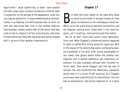equal terms— equal superficially, at least—soon teaches one that unless upon occasion he exercise a distrust keen in proportion to the fairness of the appearance, some foul turn may be served him. A ruled undemonstrative distrustfulness is so habitual, not with business-men so much, as with men who know their kind in less shallow relations than business, namely, certain men-of-the-world, that they come at last to employ it all but unconsciously; and some of them would very likely feel real surprise at being charged with it as one of their general characteristics.

# **Chapter 17**

atter the little matter at the mess Billy Budd<br>
no more found himself in strange trouble at times<br>
about his hammock or his clothesbag or what not.<br>
While as to that smile that occasionally supped him, and no more found himself in strange trouble at times about his hammock or his clothesbag or what not. While, as to that smile that occasionally sunned him, and the pleasant passing word, these were if not more frequent, yet if anything, more pronounced than before.

But for all that, there were certain other demonstrations now. When Claggart's unobserved glance happened to light on belted Billy rolling along the upper gun deck in the leisure of the second dog-watch, exchanging passing broadsides of fun with other young promenaders in the crowd; that glance would follow the cheerful sea-Hyperion with a settled meditative and melancholy expression, his eyes strangely suffused with incipient feverish tears. Then would Claggart look like the man of sorrows. Yes, and sometimes the melancholy expression would have in it a touch of soft yearning, as if Claggart could even have loved Billy but for fate and ban. But this was an evanescence, and quickly repented of, as it were,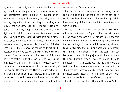by an immitigable look, pinching and shrivelling the visage into the momentary semblance of a wrinkled walnut. But sometimes catching sight in advance of the Foretopman coming in his direction, he would, upon their nearing, step aside a little to let him pass, dwelling upon Billy for the moment with the glittering dental satire of a Guise. But upon any abrupt unforeseen encounter a red light would flash forth from his eye like a spark from an anvil in a dusk smithy. That quick fierce light was a strange one, darted from orbs which in repose were of a color nearest approaching a deeper violet, the softest of shades. Tho' some of these caprices of the pit could not but be observed by their object, yet were they beyond the construing of such a nature. And the thews of Billy were hardly compatible with that sort of sensitive spiritual organisation which in some cases instinctively conveys to ignorant innocence an admonition of the proximity of the malign. He thought the Master-at-arms acted in a manner rather queer at times. That was all. But the occasional frank air and pleasant word went for what they purported to be, the young sailor never having heard as

yet of the "too fair-spoken man."

Had the Foretopman been conscious of having done or said anything to provoke the ill will of the official, it would have been different with him, and his sight might have been purged if not sharpened. As it was, innocence was his blinder.

So was it with him in yet another matter. Two minor officers—the Armorer and Captain of the Hold, with whom he had never exchanged a word, his position in the ship not bringing him into contact with them; these men now for the first began to cast upon Billy when they chanced to encounter him, that peculiar glance which evidences that the man from whom it comes has been some way tampered with and to the prejudice of him upon whom the glance lights. Never did it occur to Billy as a thing to be noted or a thing suspicious, tho' he well knew the fact, that the Armorer and Captain of the Hold, with the ship's-yeoman, apothecary, and others of that grade, were by naval usage, messmates of the Master-at-arms, men with ears convenient to his confidential tongue.

But the general popularity that our Handsome Sailor's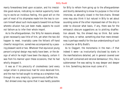manly forwardness bred upon occasion, and his irresistible good-nature, indicating no mental superiority tending to excite an invidious feeling, this good will on the part of most of his shipmates made him the less to concern himself about such mute aspects toward him as those whereto allusion has just been made, aspects he could not fathom as to infer their whole import.

As to the afterguardsman, tho' Billy for reasons already given necessarily saw little of him, yet when the two did happen to meet, invariably came the fellow's off-hand cheerful recognition, sometimes accompanied by a passing pleasant word or two. Whatever that equivocal young person's original design may really have been, or the design of which he might have been the deputy, certain it was from his manner upon these occasions, that he had wholly dropped it.

It was as if his precocity of crookedness (and every vulgar villain is precocious) had for once deceived him, and the man he had sought to entrap as a simpleton had, through his very simplicity, ignominiously baffled him.

But shrewd ones may opine that it was hardly possible

for Billy to refrain from going up to the afterguardsman and bluntly demanding to know his purpose in the initial interview, so abruptly closed in the fore-chains. Shrewd ones may also think it but natural in Billy to set about sounding some of the other impressed men of the ship in order to discover what basis, if any, there was for the emissary's obscure suggestions as to plotting disaffection aboard. Yes, the shrewd may so think. But something more, or rather, something else than mere shrewdness is perhaps needful for the due understanding of such a character as Billy Budd's.

As to Claggart, the monomania in the man—if that indeed it were—as involuntarily disclosed by starts in the manifestations detailed, yet in general covered over by his self-contained and rational demeanour; this, like a subterranean fire was eating its way deeper and deeper in him. Something decisive must come of it.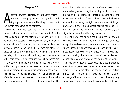# **Chapter 18**

fter the mysterious interview in the fore-chains—<br>the one so abruptly ended there by Billy—noth<br>ing especially german to the story occurred until<br>the events now about to be parrated the one so abruptly ended there by Billy—noth ing especially german to the story occurred until the events now about to be narrated.

Elsewhere it has been said that in the lack of frigates (of course better sailers than line-of-battle ships) in the English squadron up the Straits at that period, the *Indomitable* was occasionally employed not only as an available substitute for a scout, but at times on detached service of more important kind. This was not alone because of her sailing qualities, not common in a ship of her rate, but quite as much, probably, that the character of her commander, it was thought, specially adapted him for any duty where under unforeseen difficulties a prompt initiative might have to be taken in some matter demanding knowledge and ability in addition to those qualities implied in good seamanship. It was on an expedition of the latter sort, a somewhat distant one, and when the *Indomitable* was almost at her furthest remove from the

fleet, that in the latter part of an afternoon-watch she unexpectedly came in sight of a ship of the enemy. It proved to be a frigate. The latter perceiving thro' the glass that the weight of men and metal would be heavily against her, invoking her light heels, crowded sail to get away. After a chase urged almost against hope and lasting until about the middle of the first dog-watch, she signally succeeded in effecting her escape.

Not long after the pursuit had been given up, and ere the excitement incident thereto had altogether waned away, the Master-at-arms, ascending from his cavernous sphere, made his appearance cap in hand by the mainmast, respectfully waiting the notice of Captain Vere then solitary walking the weather- side of the quarterdeck, doubtless somewhat chafed at the failure of the pursuit. The spot where Claggart stood was the place allotted to men of lesser grades seeking some more particular interview either with the officer-of-the-deck or the Captain himself. But from the latter it was not often that a sailor or petty- officer of those days would seek a hearing; only some exceptional cause, would, according to established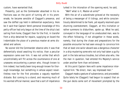custom, have warranted that.

Presently, just as the Commander absorbed in his reflections was on the point of turning aft in his promenade, he became sensible of Claggart's presence, and saw the doffed cap held in deferential expectancy. Here be it said that Captain Vere's personal knowledge of this petty-officer had only begun at the time of the ship's last sailing from home, Claggart then for the first, in transfer from a ship detained for repairs, supplying on board the *Indomitable* the place of a previous master-at-arms disabled and ashore.

No sooner did the Commander observe who it was that deferentially stood awaiting his notice, than a peculiar expression came over him. It was not unlike that which uncontrollably will flit across the countenance of one at unawares encountering a person who, though known to him indeed, has hardly been long enough known for thorough knowledge, but something in whose aspect nevertheless now for the first provokes a vaguely repellent distaste. But coming to a stand, and resuming much of his wonted official manner, save that a sort of impatience

lurked in the intonation of the opening word, he said,

"Well? what is it, Master-at-arms?"

With the air of a subordinate grieved at the necessity of being a messenger of ill tidings, and while conscientiously determined to be frank, yet equally resolved upon shunning overstatement, Claggart, at this invitation or rather summons to disburthen, spoke up. What he said, conveyed in the language of no uneducated man, was to the effect following, if not altogether in these words, namely, that during the chase and preparations for the possible encounter he had seen enough to convince him that at least one sailor aboard was a dangerous character in a ship mustering some who not only had taken a guilty part in the late serious troubles, but others also who, like the man in question, had entered His Majesty's service under another form than enlistment.

At this point Captain Vere with some impatience interrupted him: "Be direct, man; say *impressed men*."

Claggart made a gesture of subservience, and proceeded. Quite lately he (Claggart) had begun to suspect that on the gun decks some sort of movement prompted by the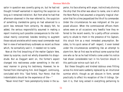sailor in question was covertly going on, but he had not thought himself warranted in reporting the suspicion so long as it remained indistinct. But from what he had that afternoon observed in the man referred to, the suspicion of something clandestine going on had advanced to a point less removed from certainty. He deeply felt, he added, the serious responsibility assumed in making a report involving such possible consequences to the individual mainly concerned, besides tending to augment those natural anxieties which every naval commander must feel in view of extraordinary outbreaks so recent as those which, he sorrowfully said it, it needed not to name.

Now at the first broaching of the matter Captain Vere, taken by surprise, could not wholly dissemble his disquietude. But as Claggart went on, the former's aspect changed into restiveness under something in the witness' manner in giving his testimony. However, he refrained from interrupting him. And Claggart, continuing, concluded with this: "God forbid, Your Honor, that the *Indomitable's* should be the experience of the—"

"Never mind that!" here peremptorily broke in the su-

perior, his face altering with anger, instinctively divining the ship that the other was about to name, one in which the Nore Mutiny had assumed a singularly tragical character that for a time jeopardized the life of its commander. Under the circumstances he was indignant at the purposed allusion. When the commissioned officers themselves were on all occasions very heedful how they referred to the recent events, for a petty-officer unnecessarily to allude to them in the presence of his Captain, this struck him as a most immodest presumption. Besides, to his quick sense of self- respect, it even looked under the circumstances something like an attempt to alarm him. Nor at first was he without some surprise that one who so far as he had hitherto come under his notice had shown considerable tact in his function should in this particular evince such lack of it.

But these thoughts and kindred dubious ones flitting across his mind were suddenly replaced by an intuitional surmise which, though as yet obscure in form, served practically to affect his reception of the ill tidings. Certain it is, that long versed in everything pertaining to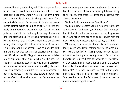the complicated gun-deck life, which like every other form of life, has its secret mines and dubious side, the side popularly disclaimed, Captain Vere did not permit himself to be unduly disturbed by the general tenor of his subordinate's report. Furthermore, if in view of recent events prompt action should be taken at the first palpable sign of recurring insubordination, for all that, not judicious would it be, he thought, to keep the idea of lingering disaffection alive by undue forwardness in crediting an informer, even if his own subordinate, and charged among other things with police surveillance of the crew. This feeling would not perhaps have so prevailed with him were it not that upon a prior occasion the patriotic zeal officially evinced by Claggart had somewhat irritated him as appearing rather supersensible and strained. Furthermore, something even in the official's self-possessed and somewhat ostentatious manner in making his specifications strangely reminded him of a bandsman, a perjurous witness in a capital case before a courtmartial ashore of which when a lieutenant, he, Captain Vere, had been a member.

Now the peremptory check given to Claggart in the matter of the arrested allusion was quickly followed up by this: "You say that there is at least one dangerous man aboard. Name him."

"William Budd. A foretopman, Your Honor-"

"William Budd," repeated Captain Vere with unfeigned astonishment; "and mean you the man that Lieutenant Ratcliff took from the merchantman not very long ago the young fellow who seems to be so popular with the men—Billy, the 'Handsome Sailor' as they call him?"

"The same, Your Honor; but for all his youth and good looks, a deep one. Not for nothing does he insinuate himself into the good will of his shipmates, since at the least all hands will at a pinch say a good word for him at all hazards. Did Lieutenant Ratcliff happen to tell Your Honor of that adroit fling of Budd's, jumping up in the cutter's bow under the merchantman's stern when he was being taken off? It is even masqued by that sort of goodhumoured air that at heart he resents his impressment. You have but noted his fair cheek. A man-trap may be under his ruddy-tipped daisies."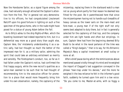Now the Handsome Sailor, as a signal figure among the crew, had naturally enough attracted the Captain's attention from the first. Tho' in general not very demonstrative to his officers, he had congratulated Lieutenant Ratcliff upon his good fortune in lighting on such a fine specimen of the *genus homo,* who in the nude might have posed for a statue of young Adam before the Fall.

As to Billy's adieu to the ship *Rights-of-Man,* which the boarding lieutenant had indeed reported to him, but in a deferential way more as a good story than aught else, Captain Vere, tho' mistakenly understanding it as a satiric sally, had but thought so much the better of the impressed man for it; as a military sailor, admiring the spirit that could take an arbitrary enlistment so merrily and sensibly. The Foretopman's conduct, too, so far as it had fallen under the Captain's notice, had confirmed the first happy augury, while the new recruit's qualities as a sailor-man seemed to be such that he had thought of recommending him to the executive officer for promotion to a place that would more frequently bring him under his own observation, namely, the captaincy of the

mizzentop, replacing there in the starboard watch a man not so young whom partly for that reason he deemed less fitted for the post. Be it parenthesized here that since the mizzentopmen having not to handle such breadths of heavy canvas as the lower sails on the main-mast and fore-mast, a young man if of the right stuff not only seems best adapted to duty there, but in fact is generally selected for the captaincy of that top, and the company under him are light hands and often but striplings. In sum, Captain Vere had from the beginning deemed Billy Budd to be what in the naval parlance of the time was called a "King's bargain," that is to say, for His Britannic Majesty's Navy a capital investment at small outlay or none at all.

After a brief pause during which the reminiscences above mentioned passed vividly through his mind and he weighed the import of Claggart's last suggestion conveyed in the phrase "man-trap under his daisies," and the more he weighed it the less reliance he felt in the informer's good faith, suddenly he turned upon him and in a low voice: "Do you come to me, Master-at-arms, with so foggy a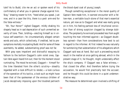tale? As to Budd, cite me an act or spoken word of his confirmatory of what you in general charge against him. Stay," drawing nearer to him, "heed what you speak. Just now, and in a case like this, there is a yard- arm-end for the false-witness."

"Ah, Your Honor!" sighed Claggart, mildly shaking his shapely head as in sad deprecation of such unmerited severity of tone. Then, bridling—erecting himself as in virtuous self-assertion—he circumstantially alleged certain words and acts, which collectively, if credited, led to presumptions mortally inculpating Budd. And for some of these averments, he added, substantiating proof was not far.

With gray eyes impatient and distrustful essaying to fathom to the bottom Claggart's calm violet ones, Captain Vere again heard him out; then for the moment stood ruminating. The mood he evinced, Claggart— himself for the time liberated from the other's scrutiny—steadily regarded with a look difficult to render,—a look curious of the operation of his tactics, a look such as might have been that of the spokesman of the envious children of Jacob deceptively imposing upon the troubled patriarch

the blood-dyed coat of young Joseph.

Though something exceptional in the moral quality of Captain Vere made him, in earnest encounter with a fellow-man, a veritable touch-stone of that man's essential nature, yet now as to Claggart and what was really going on in him, his feeling partook less of intuitional conviction than of strong suspicion clogged by strange dubieties. The perplexity he evinced proceeded less from aught touching the man informed against—as Claggart doubtless opined—than from considerations how best to act in regard to the informer. At first indeed he was naturally for summoning that substantiation of his allegations which Claggart said was at hand. But such a proceeding would result in the matter at once getting abroad, which in the present stage of it, he thought, might undesirably affect the ship's company. If Claggart was a false witness, that closed the affair. And therefore before trying the accusation, he would first practically test the accuser; and he thought this could be done in a quiet undemonstrative way.

The measure he determined upon involved a shifting of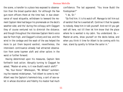the scene, a transfer to a place less exposed to observation than the broad quarter-deck. For although the few gun-room officers there at the time had, in due observance of naval etiquette, withdrawn to leeward the moment Captain Vere had begun his promenade on the deck's weather-side; and tho' during the colloquy with Claggart they of course ventured not to diminish the distance; and though throughout the interview Captain Vere's voice was far from high, and Claggart's silvery and low; and the wind in the cordage and the wash of the sea helped the more to put them beyond earshot; nevertheless, the interview's continuance already had attracted observation from some topmen aloft and other sailors in the waist or further forward.

Having determined upon his measures, Captain Vere forthwith took action. Abruptly turning to Claggart he asked, "Master-at-arms, is it now Budd's watch aloft?"

"No, Your Honor." Whereupon, "Mr. Wilkes!" summoning the nearest midshipman, "tell Albert to come to me." Albert was the Captain's hammock-boy, a sort of sea-valet in whose discretion and fidelity his master had much confidence. The lad appeared. "You know Budd the Foretopman?"

## "I do, Sir."

"Go find him. It is his watch off. Manage to tell him out of earshot that he is wanted aft. Contrive it that he speaks to nobody. Keep him in talk yourself. And not till you get well aft here, not till then let him know that the place where he is wanted is my cabin. You understand. Go.— Master-at-arms, show yourself on the decks below, and when you think it time for Albert to be coming with his man, stand by quietly to follow the sailor in."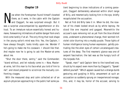# **Chapter 19**

Now when the Foretopman found himself closeted<br>there, as it were, in the cabin with the Captain<br>and Claggart, he was surprised enough. But it<br>was a surprise unaccompanied by apprehension or disthere, as it were, in the cabin with the Captain and Claggart, he was surprised enough. But it was a surprise unaccompanied by apprehension or distrust. To an immature nature essentially honest and humane, forewarning intimations of subtler danger from one's kind come tardily if at all. The only thing that took shape in the young sailor's mind was this: Yes, the Captain, I have always thought, looks kindly upon me. Wonder if he's going to make me his coxswain. I should like that. And maybe now he is going to ask the Master-at-arms about me.

"Shut the door there, sentry," said the Commander; "stand without, and let nobody come in.—Now, Masterat-arms, tell this man to his face what you told of him to me"; and stood prepared to scrutinize the mutually confronting visages.

With the measured step and calm collected air of an asylum-physician approaching in the public hall some patient beginning to show indications of a coming paroxysm, Claggart deliberately advanced within short range of Billy, and mesmerically looking him in the eye, briefly recapitulated the accusation.

Not at first did Billy take it in. When he did, the rosetan of his cheek looked struck as by white leprosy. He stood like one impaled and gagged. Meanwhile the accuser's eyes removing not as yet from the blue dilated ones, underwent a phenomenal change, their wonted rich violet color blurring into a muddy purple. Those lights of human intelligence losing human expression, gelidly protruding like the alien eyes of certain uncatalogued creatures of the deep. The first mesmeric glance was one of serpent fascination; the last was as the hungry lurch of the torpedo-fish.

"Speak, man!" said Captain Vere to the transfixed one, struck by his aspect even more than by Claggart's, "Speak! defend yourself." Which appeal caused but a strange dumb gesturing and gurgling in Billy; amazement at such an accusation so suddenly sprung on inexperienced nonage; this, and, it may be, horror of the accuser, serving to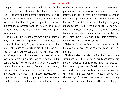bring out his lurking defect and in this instance for the time intensifying it into a convulsed tongue-tie; while the intent head and entire form straining forward in an agony of ineffectual eagerness to obey the injunction to speak and defend himself, gave an expression to the face like that of a condemned Vestal priestess in the moment of being buried alive, and in the first struggle against suffocation.

Though at the time Captain Vere was quite ignorant of Billy's liability to vocal impediment, he now immediately divined it, since vividly Billy's aspect recalled to him that of a bright young schoolmate of his whom he had once seen struck by much the same startling impotence in the act of eagerly rising in the class to be foremost in response to a testing question put to it by the master. Going close up to the young sailor, and laying a soothing hand on his shoulder, he said, "There is no hurry, my boy. Take your time, take your time." Contrary to the effect intended, these words so fatherly in tone, doubtless touching Billy's heart to the quick, prompted yet more violent efforts at utterance—efforts soon ending for the time in

confirming the paralysis, and bringing to his face an expression which was as a crucifixion to behold. The next instant, quick as the flame from a discharged cannon at night, his right arm shot out, and Claggart dropped to the deck. Whether intentionally or but owing to the young athlete's superior height, the blow had taken effect fully upon the forehead, so shapely and intellectual-looking a feature in the Master-at- arms; so that the body fell over lengthwise, like a heavy plank tilted from erectness. A gasp or two, and he lay motionless.

"Fated boy," breathed Captain Vere in tone so low as to be almost a whisper, "what have you done! But here, help me."

The twain raised the felled one from the loins up into a sitting position. The spare form flexibly acquiesced, but inertly. It was like handling a dead snake. They lowered it back. Regaining erectness Captain Vere with one hand covering his face stood to all appearance as impassive as the object at his feet. Was he absorbed in taking in all the bearings of the event and what was best not only now at once to be done, but also in the sequel? Slowly he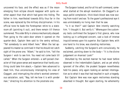uncovered his face; and the effect was as if the moon emerging from eclipse should reappear with quite another aspect than that which had gone into hiding. The father in him, manifested towards Billy thus far in the scene, was replaced by the military disciplinarian. In his official tone he bade the Foretopman retire to a stateroom aft (pointing it out), and there remain till thence summoned. This order Billy in silence mechanically obeyed. Then going to the cabin-door where it opened on the quarter-deck, Captain Vere said to the sentry without, "Tell somebody to send Albert here." When the lad appeared his master so contrived it that he should not catch sight of the prone one. "Albert," he said to him, "tell the Surgeon I wish to see him. You need not come back till called." When the Surgeon entered—a self-poised character of that grave sense and experience that hardly anything could take him aback,—Captain Vere advanced to meet him, thus unconsciously intercepting his view of Claggart, and interrupting the other's wonted ceremonious salutation, said, "Nay, tell me how it is with yonder man," directing his attention to the prostrate one.

The Surgeon looked, and for all his self-command, somewhat started at the abrupt revelation. On Claggart's always pallid complexion, thick black blood was now oozing from nostril and ear. To the gazer's professional eye it was unmistakably no living man that he saw.

"Is it so then?" said Captain Vere intently watching him. "I thought it. But verify it." Whereupon the customary tests confirmed the Surgeon's first glance, who now looking up in unfeigned concern, cast a look of intense inquisitiveness upon his superior. But Captain Vere, with one hand to his brow, was standing motionless.

Suddenly, catching the Surgeon's arm convulsively, he exclaimed, pointing down to the body—"It is the divine judgement on Ananias! Look!"

Disturbed by the excited manner he had never before observed in the *Indomitable's* Captain, and as yet wholly ignorant of the affair, the prudent Surgeon nevertheless held his peace, only again looking an earnest interrogation as to what it was that had resulted in such a tragedy.

But Captain Vere was now again motionless standing absorbed in thought. But again starting, he vehemently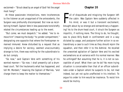exclaimed—"Struck dead by an angel of God! Yet the angel must hang!"

At these passionate interjections, mere incoherences to the listener as yet unapprised of the antecedents, the Surgeon was profoundly discomposed. But now as recollecting himself, Captain Vere in less passionate tone briefly related the circumstances leading up to the event.

"But come; we must despatch," he added. "me to remove him" (meaning the body) "to yonder compartment," designating one opposite that where the Foretopman remained immured. Anew disturbed by a request that as implying a desire for secrecy, seemed unaccountably strange to him, there was nothing for the subordinate to do but comply.

"Go now," said Captain Vere with something of his wonted manner—"Go now. I shall presently call a drumhead court. Tell the lieutenants what has happened, and tell Mr. Mordant," meaning the Captain of Marines, "and charge them to keep the matter to themselves."

# **Chapter 20**

ull of disquietude and misgiving the Surgeon left<br>the cabin. Was Captain Vere suddenly affected in<br>his mind, or was it but a transient excitement,<br>brought about by so strange and extraordinary a happenull of disquietude and misgiving the Surgeon left the cabin. Was Captain Vere suddenly affected in his mind, or was it but a transient excitement, ing? As to the drum-head court, it struck the Surgeon as impolitic, if nothing more. The thing to do, he thought, was to place Billy Budd in confinement and in a way dictated by usage, and postpone further action in so extraordinary a case to such time as they should rejoin the squadron, and then refer it to the Admiral. He recalled the unwonted agitation of Captain Vere and his excited exclamations so at variance with his normal manner. Was he unhinged? But assuming that he is, it is not so susceptible of proof. What then can he do? No more trying situation is conceivable than that of an officer subordinate under a Captain whom he suspects to be, not mad indeed, but yet not quite unaffected in his intellect. To argue his order to him would be insolence. To resist him would be mutiny.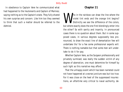In obedience to Captain Vere he communicated what had happened to the lieutenants and Captain of Marines; saying nothing as to the Captain's state. They fully shared his own surprise and concern. Like him too they seemed to think that such a matter should be referred to the Admiral.

# **Chapter 21**

Who in the rainbow can draw the line where the<br>violet tint ends and the orange tint begins?<br>but where exactly does the one first blandingly enter into violet tint ends and the orange tint begins? Distinctly we see the difference of the colors, but where exactly does the one first blendingly enter into the other? So with sanity and insanity. In pronounced cases there is no question about them. But in some supposed cases, in various degrees supposedly less pronounced, to draw the exact line of demarkation few will undertake tho' for a fee some professional experts will. There is nothing namable but that some men will undertake to do it for pay.

Whether Captain Vere, as the Surgeon professionally and privately surmised, was really the sudden victim of any degree of aberration, one must determine for himself by such light as this narrative may afford.

That the unhappy event which has been narrated could not have happened at a worse juncture was but too true. For it was close on the heel of the suppressed insurrections, an aftertime very critical to naval authority, de-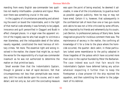manding from every English sea-commander two qualities not readily interfusable—prudence and rigour. Moreover there was something crucial in the case.

In the jugglery of circumstances preceding and attending the event on board the Indomitable, and in the light of that martial code whereby it was formally to be judged, innocence and guilt personified in Claggart and Budd in effect changed places. In a legal view the apparent victim of the tragedy was he who had sought to victimize a man blameless; and the indisputable deed of the latter, navally regarded, constituted the most heinous of military crimes. Yet more. The essential right and wrong involved in the matter, the clearer that might be, so much the worse for the responsibility of a loyal sea-commander inasmuch as he was not authorized to determine the matter on that primitive basis.

Small wonder then that the Indomitable's Captain, though in general a man of rapid decision, felt that circumspectness not less than promptitude was necessary. Until he could decide upon his course, and in each detail; and not only so, but until the concluding measure

was upon the point of being enacted, he deemed it advisable, in view of all the circumstances, to guard as much as possible against publicity. Here he may or may not have erred. Certain it is, however, that subsequently in the confidential talk of more than one or two gun-rooms and cabins he was not a little criticized by some officers, a fact imputed by his friends and vehemently by his cousin, Jack Denton, to professional jealousy of Starry Vere. Some imaginative ground for invidious comment there was. The maintenance of secrecy in the matter, the confining all knowledge of it for a time to the place where the homicide occurred, the quarter- deck cabin; in these particulars lurked some resemblance to the policy adopted in those tragedies of the palace which have occurred more than once in the capital founded by Peter the Barbarian. The case indeed was such that fain would the Indomitable's Captain have deferred taking any action whatever respecting it further than to keep the Foretopman a close prisoner till the ship rejoined the squadron, and then submitting the matter to the judgement of his Admiral.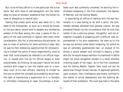But a true military officer is in one particular like a true monk. Not with more of self-abnegation will the latter keep his vows of monastic obedience than the former his vows of allegiance to martial duty.

Feeling that unless quick action was taken on it, the deed of the Foretopman, so soon as it should be known on the gun decks, would tend to awaken any slumbering embers of the Nore among the crew, a sense of the urgency of the case overruled in Captain Vere every other consideration. But tho' a conscientious disciplinarian, he was no lover of authority for mere authority's sake. Very far was he from embracing opportunities for monopolizing to himself the perils of moral responsibility, none at least that could properly be referred to an official superior, or shared with him by his official equals or even subordinates. So thinking, he was glad it would not be at variance with usage to turn the matter over to a summary court of his own officers, reserving to himself as the one on whom the ultimate accountability would rest, the right of maintaining a supervision of it, or formally or informally interposing at need. Accordingly a drum-

head court was summarily convened, he electing the individuals composing it, the First Lieutenant, the Captain of Marines, and the Sailing Master.

In associating an officer of marines with the sea-lieutenants in a case having to do with a sailor, the Commander perhaps deviated from general custom. He was prompted thereto by the circumstance that he took that soldier to be a judicious person, thoughtful, and not altogether incapable of grappling with a difficult case unprecedented in his prior experience. Yet even as to him he was not without some latent misgiving, for withal he was an extremely goodnatured man, an enjoyer of his dinner, a sound sleeper, and inclined to obesity, a man who tho' he would always maintain his manhood in battle might not prove altogether reliable in a moral dilemma involving aught of the tragic. As to the First Lieutenant and the Sailing Master, Captain Vere could not but be aware that though honest natures, of approved gallantry upon occasion, their intelligence was mostly confined to the matter of active seamanship and the fighting demands of their profession. The court was held in the same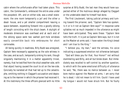cabin where the unfortunate affair had taken place. This cabin, the Commander's, embraced the entire area under the poopdeck. Aft, and on either side, was a small stateroom; the one room temporarily a jail and the other a dead- house, and a yet smaller compartment leaving a space between, expanding forward into a goodly oblong of length coinciding with the ship's beam. A skylight of moderate dimension was overhead and at each end of the oblong space were two sashed port-hole windows easily convertible back into embrasures for short carronades.

All being quickly in readiness, Billy Budd was arraigned, Captain Vere necessarily appearing as the sole witness in the case, and as such, temporarily sinking his rank, though singularly maintaining it in a matter apparently trivial, namely, that he testified from the ship's weather-side, with that object having caused the court to sit on the lee-side. Concisely he narrated all that had led up to the catastrophe, omitting nothing in Claggart's accusation and deposing as to the manner in which the prisoner had received it. At this testimony the three officers glanced with no little

surprise at Billy Budd, the last man they would have suspected either of the mutinous design alleged by Claggart or the undeniable deed he himself had done.

The First Lieutenant, taking judicial primacy and turning toward the prisoner, said, "Captain Vere has spoken. Is it or is it not as Captain Vere says?" In response came syllables not so much impeded in the utterance as might have been anticipated. They were these: "Captain Vere tells the truth. It is just as Captain Vere says, but it is not as the Master-at-arms said. I have eaten the King's bread and I am true to the King."

"I believe you, my man," said the witness, his voice indicating a suppressed emotion not otherwise betrayed.

"God will bless you for that, Your Honor!" not without stammering said Billy, and all but broke down. But immediately was recalled to self-control by another question, to which with the same emotional difficulty of utterance he said, "No, there was no malice between us. I never bore malice against the Master-at-arms. I am sorry that he is dead. I did not mean to kill him. Could I have used my tongue I would not have struck him. But he foully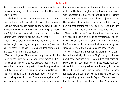lied to my face and in presence of my Captain, and I had to say something, and I could only say it with a blow, God help me!"

In the impulsive above-board manner of the frank one, the court saw confirmed all that was implied in words that just previously had perplexed them, coming as they did from the testifier to the tragedy and promptly following Billy's impassioned disclaimer of mutinous intent— Captain Vere's words, "I believe you, my man."

Next it was asked of him whether he knew of or suspected aught savoring of incipient trouble (meaning mutiny, tho' the explicit term was avoided) going on in any section of the ship's company.

The reply lingered. This was naturally imputed by the court to the same vocal embarrassment which had retarded or obstructed previous answers. But in main it was otherwise here; the question immediately recalling to Billy's mind the interview with the afterguardsman in the fore-chains. But an innate repugnance to playing a part at all approaching that of an informer against one's own shipmates—the same erring sense of uninstructed honor which had stood in the way of his reporting the matter at the time though as a loyal man-of-war-man it was incumbent on him, and failure so to do if charged against him and proven, would have subjected him to the heaviest of penalties; this, with the blind feeling now his, that nothing really was being hatched, prevailed with him. When the answer came it was a negative.

"One question more," said the officer of marines now first speaking and with a troubled earnestness. "You tell us that what the Master-at-arms said against you was a lie. Now why should he have so lied, so maliciously lied, since you declare there was no malice between you?"

At that question unintentionally touching on a spiritual sphere wholly obscure to Billy's thoughts, he was nonplussed, evincing a confusion indeed that some observers, such as can readily be imagined, would have construed into involuntary evidence of hidden guilt. Nevertheless he strove some way to answer, but all at once relinquished the vain endeavor, at the same time turning an appealing glance towards Captain Vere as deeming him his best helper and friend. Captain Vere who had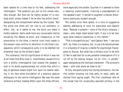been seated for a time rose to his feet, addressing the interrogator. "The question you put to him comes naturally enough. But how can he rightly answer it? or anybody else? unless indeed it be he who lies within there," designating the compartment where lay the corpse. "But the prone one there will not rise to our summons. In effect, tho', as it seems to me, the point you make is hardly material. Quite aside from any conceivable motive actuating the Master-at-arms, and irrespective of the provocation to the blow, a martial court must needs in the present case confine its attention to the blow's consequence, which consequence justly is to be deemed not otherwise than as the striker's deed."

This utterance, the full significance of which it was not at all likely that Billy took in, nevertheless caused him to turn a wistful interrogative look toward the speaker, a look in its dumb expressiveness not unlike that which a dog of generous breed might turn upon his master seeking in his face some elucidation of a previous gesture ambiguous to the canine intelligence. Nor was the same utterance without marked effect upon the three officers,

more especially the soldier. Couched in it seemed to them a meaning unanticipated, involving a prejudgement on the speaker's part. It served to augment a mental disturbance previously evident enough.

The soldier once more spoke; in a tone of suggestive dubiety addressing at once his associates and Captain Vere: "Nobody is present—none of the ship's company, I mean—who might shed lateral light, if any is to be had, upon what remains mysterious in this matter."

"That is thoughtfully put," said Captain Vere; "I see your drift. Ay, there is a mystery; but, to use a Scriptural phrase, it is 'a mystery of iniquity,' a matter for psychologic theologians to discuss. But what has a military court to do with it? Not to add that for us any possible investigation of it is cut off by the lasting tongue- tie of—him—in yonder," again designating the mortuary stateroom. "The prisoner's deed,—with that alone we have to do."

To this, and particularly the closing reiteration, the marine soldier knowing not how aptly to reply, sadly abstained from saying aught. The First Lieutenant who at the outset had not unnaturally assumed primacy in the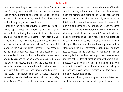court, now overrulingly instructed by a glance from Captain Vere, a glance more effective than words, resumed that primacy. Turning to the prisoner, "Budd," he said, and scarce in equable tones, "Budd, if you have aught further to say for yourself, say it now."

Upon this the young sailor turned another quick glance toward Captain Vere; then, as taking a hint from that aspect, a hint confirming his own instinct that silence was now best, replied to the Lieutenant, "I have said all, Sir."

The marine—the same who had been the sentinel without the cabin-door at the time that the Foretopman followed by the Master-at-arms, entered it—he, standing by the sailor throughout these judicial proceedings, was now directed to take him back to the after compartment originally assigned to the prisoner and his custodian. As the twain disappeared from view, the three officers as partially liberated from some inward constraint associated with Billy's mere presence, simultaneously stirred in their seats. They exchanged looks of troubled indecision, yet feeling that decide they must and without long delay. As for Captain Vere, he for the time stood unconsciously

with his back toward them, apparently in one of his absent fits, gazing out from a sashed port-hole to windward upon the monotonous blank of the twilight sea. But the court's silence continuing, broken only at moments by brief consultations in low earnest tones, this seemed to arm him and energize him. Turning, he to-and-fro paced the cabin athwart; in the returning ascent to windward, climbing the slant deck in the ship's lee roll; without knowing it symbolizing thus in his action a mind resolute to surmount difficulties even if against primitive instincts strong as the wind and the sea. Presently he came to a stand before the three. After scanning their faces he stood less as mustering his thoughts for expression, than as one inly deliberating how best to put them to well-meaning men not intellectually mature, men with whom it was necessary to demonstrate certain principles that were axioms to himself. Similar impatience as to talking is perhaps one reason that deters some minds from addressing any popular assemblies.

When speak he did, something both in the substance of what he said and his manner of saying it, showed the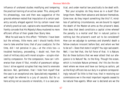influence of unshared studies modifying and tempering the practical training of an active career. This, along with his phraseology, now and then was suggestive of the grounds whereon rested that imputation of a certain pedantry socially alleged against him by certain naval men of wholly practical cast, captains who nevertheless would frankly concede that His Majesty's Navy mustered no more efficient officer of their grade than Starry Vere.

What he said was to this effect: "Hitherto I have been but the witness, little more; and I should hardly think now to take another tone, that of your coadjutor, for the time, did I not perceive in you,—at the crisis too—a troubled hesitancy, proceeding, I doubt not, from the clash of military duty with moral scruple— scruple vitalized by compassion. For the compassion, how can I otherwise than share it? But, mindful of paramount obligations I strive against scruples that may tend to enervate decision. Not, gentlemen, that I hide from myself that the case is an exceptional one. Speculatively regarded, it well might be referred to a jury of casuists. But for us here acting not as casuists or moralists, it is a case practical, and under martial law practically to be dealt with.

"But your scruples: do they move as in a dusk? Challenge them. Make them advance and declare themselves. Come now: do they import something like this? If, mindless of palliating circumstances, we are bound to regard the death of the Master-at-arms as the prisoner's deed, then does that deed constitute a capital crime whereof the penalty is a mortal one? But in natural justice is nothing but the prisoner's overt act to be considered? How can we adjudge to summary and shameful death a fellow-creature innocent before God, and whom we feel to be so?—Does that state it aright? You sign sad assent. Well, I too feel that, the full force of that. It is Nature. But do these buttons that we wear attest that our allegiance is to Nature? No, to the King. Though the ocean, which is inviolate Nature primeval, tho' this be the element where we move and have our being as sailors, yet as the King's officers lies our duty in a sphere correspondingly natural? So little is that true, that in receiving our commissions we in the most important regards ceased to be natural free-agents. When war is declared are we the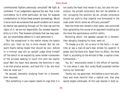commissioned fighters previously consulted? We fight at command. If our judgements approve the war, that is but coincidence. So in other particulars. So now. For suppose condemnation to follow these present proceedings. Would it be so much we ourselves that would condemn as it would be martial law operating through us? For that law and the rigour of it, we are not responsible. Our avowed responsibility is in this: That however pitilessly that law may operate, we nevertheless adhere to it and administer it.

"But the exceptional in the matter moves the hearts within you. Even so too is mine moved. But let not warm hearts betray heads that should be cool. Ashore in a criminal case will an upright judge allow himself off the bench to be waylaid by some tender kinswoman of the accused seeking to touch him with her tearful plea? Well the heart here denotes the feminine in man is as that piteous woman, and hard tho' it be, she must here be ruled out."

He paused, earnestly studying them for a moment; then resumed.

"But something in your aspect seems to urge that it is

not solely the heart that moves in you, but also the conscience, the private conscience. But tell me whether or not, occupying the position we do, private conscience should not yield to that imperial one formulated in the code under which alone we officially proceed?"

Here the three men moved in their seats, less convinced than agitated by the course of an argument troubling but the more the spontaneous conflict within.

Perceiving which, the speaker paused for a moment; then abruptly changing his tone, went on.

"To steady us a bit, let us recur to the facts.—In wartime at sea a man-of-war's-man strikes his superior in grade, and the blow kills. Apart from its effect, the blow itself is, according to the Articles of War, a capital crime. Furthermore—"

"Ay, Sir," emotionally broke in the officer of marines, "in one sense it was. But surely Budd purposed neither mutiny nor homicide."

"Surely not, my good man. And before a court less arbitrary and more merciful than a martial one, that plea would largely extenuate. At the Last Assizes it shall ac-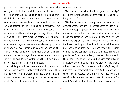quit. But how here? We proceed under the law of the Mutiny Act. In feature no child can resemble his father more than that Act resembles in spirit the thing from which it derives—War. In His Majesty's service—in this ship indeed—there are Englishmen forced to fight for the King against their will. Against their conscience, for aught we know. Tho' as their fellow-creatures some of us may appreciate their position, yet as navy officers, what reck we of it? Still less recks the enemy. Our impressed men he would fain cut down in the same swath with our volunteers. As regards the enemy's naval conscripts, some of whom may even share our own abhorrence of the regicidal French Directory, it is the same on our side. War looks but to the frontage, the appearance. And the Mutiny Act, War's child, takes after the father. Budd's intent or non-intent is nothing to the purpose.

"But while, put to it by these anxieties in you which I can not but respect, I only repeat myself—while thus strangely we prolong proceedings that should be summary—the enemy may be sighted and an engagement result. We must do; and one of two things must we docondemn or let go."

"Can we not convict and yet mitigate the penalty?" asked the junior Lieutenant here speaking, and falteringly, for the first.

"Lieutenant, were that clearly lawful for us under the circumstances, consider the consequences of such clemency. The people" (meaning the ship's company) "have native-sense; most of them are familiar with our naval usage and tradition; and how would they take it? Even could you explain to them—which our official position forbids—they, long moulded by arbitrary discipline have not that kind of intelligent responsiveness that might qualify them to comprehend and discriminate. No, to the people the Foretopman's deed, however it be worded in the announcement, will be plain homicide committed in a flagrant act of mutiny. What penalty for that should follow, they know. But it does not follow. Why? they will ruminate. You know what sailors are. Will they not revert to the recent outbreak at the Nore? Ay. They know the well-founded alarm—the panic it struck throughout England. Your clement sentence they would account pusil-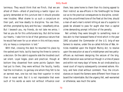lanimous. They would think that we flinch, that we are afraid of them—afraid of practising a lawful rigour singularly demanded at this juncture lest it should provoke new troubles. What shame to us such a conjecture on their part, and how deadly to discipline. You see then, whither, prompted by duty and the law, I steadfastly drive. But I beseech you, my friends, do not take me amiss. I feel as you do for this unfortunate boy. But did he know our hearts, I take him to be of that generous nature that he would feel even for us on whom in this military necessity so heavy a compulsion is laid."

With that, crossing the deck he resumed his place by the sashed port-hole, tacitly leaving the three to come to a decision. On the cabin's opposite side the troubled court sat silent. Loyal lieges, plain and practical, though at bottom they dissented from some points Captain Vere had put to them, they were without the faculty, hardly had the inclination, to gainsay one whom they felt to be an earnest man, one too not less their superior in mind than in naval rank. But it is not improbable that even such of his words as were not without influence over

them, less came home to them than his closing appeal to their instinct as sea-officers in the forethought he threw out as to the practical consequences to discipline, considering the unconfirmed tone of the fleet at the time, should a man-of-war's-man's violent killing at sea of a superior in grade be allowed to pass for aught else than a capital crime demanding prompt infliction of the penalty.

Not unlikely they were brought to something more or less akin to that harassed frame of mind which in the year 1842 actuated the Commander of the U.S. brig-of-war Somers to resolve, under the so-called Articles of War, Articles modelled upon the English Mutiny Act, to resolve upon the execution at sea of a midshipman and two pettyofficers as mutineers designing the seizure of the brig. Which resolution was carried out though in a time of peace and within not many days' of home. An act vindicated by a naval court of inquiry subsequently convened ashore. History, and here cited without comment. True, the circumstances on board the Somers were different from those on board the Indomitable. But the urgency felt, well-warranted or otherwise, was much the same.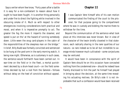Says a writer whom few know, "Forty years after a battle it is easy for a non-combatant to reason about how it ought to have been fought. It is another thing personally and under fire to direct the fighting while involved in the obscuring smoke of it. Much so with respect to other emergencies involving considerations both practical and moral, and when it is imperative promptly to act. The greater the fog the more it imperils the steamer, and speed is put on tho' at the hazard of running somebody down. Little ween the snug card-players in the cabin of the responsibilities of the sleepless man on the bridge." In brief, Billy Budd was formally convicted and sentenced to be hung at the yard-arm in the early morning watch, it being now night. Otherwise, as is customary in such cases, the sentence would forthwith have been carried out. In war-time on the field or in the fleet, a mortal punishment decreed by a drum-head court—on the field sometimes decreed by but a nod from the General—follows without delay on the heel of conviction without appeal.

# **Chapter 22**

It was Captain Vere himself who of his own motion<br>communicated the finding of the court to the pris-<br>oner; for that purpose going to the compartment<br>where he was in custody and bidding the marine there to t was Captain Vere himself who of his own motion communicated the finding of the court to the prisoner; for that purpose going to the compartment withdraw for the time.

Beyond the communication of the sentence what took place at this interview was never known. But in view of the character of the twain briefly closeted in that stateroom, each radically sharing in the rarer qualities of our nature—so rare indeed as to be all but incredible to average minds however much cultivated—some conjectures may be ventured.

It would have been in consonance with the spirit of Captain Vere should he on this occasion have concealed nothing from the condemned one—should he indeed have frankly disclosed to him the part he himself had played in bringing about the decision, at the same time revealing his actuating motives. On Billy's side it is not improbable that such a confession would have been received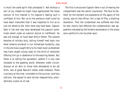in much the same spirit that prompted it. Not without a sort of joy indeed he might have appreciated the brave opinion of him implied in his Captain's making such a confidant of him. Nor, as to the sentence itself could he have been insensible that it was imparted to him as to one not afraid to die. Even more may have been. Captain Vere in the end may have developed the passion sometimes latent under an exterior stoical or indifferent. He was old enough to have been Billy's father. The austere devotee of military duty, letting himself melt back into what remains primeval in our formalized humanity, may in the end have caught Billy to his heart even as Abraham may have caught young Isaac on the brink of resolutely offering him up in obedience to the exacting behest. But there is no telling the sacrament, seldom if in any case revealed to the gadding world, wherever under circumstances at all akin to those here attempted to be set forth, two of great Nature's nobler order embrace. There is privacy at the time, inviolable to the survivor, and holy oblivion, the sequel to each diviner magnanimity, providentially covers all at last.

The first to encounter Captain Vere in act of leaving the compartment was the senior Lieutenant. The face he beheld, for the moment one expressive of the agony of the strong, was to that officer, tho' a man of fifty, a startling revelation. That the condemned one suffered less than he who mainly had effected the condemnation was apparently indicated by the former's exclamation in the scene soon perforce to be touched upon.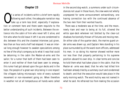# **Chapter 23**

f a series of incidents within a brief term rapidly<br>following each other, the adequate narration may<br>take up a term less brief, especially if explana-<br>tion or comment here and there seem requisite to the following each other, the adequate narration may take up a term less brief, especially if explanation or comment here and there seem requisite to the better understanding of such incidents. Between the entrance into the cabin of him who never left it alive, and him who when he did leave it left it as one condemned to die; between this and the closeted interview just given, less than an hour and a half had elapsed. It was an interval long enough however to awaken speculations among no few of the ship's company as to what it was that could be detaining in the cabin the Master-at-arms and the sailor; for a rumor that both of them had been seen to enter it and neither of them had been seen to emerge, this rumor had got abroad upon the gun decks and in the tops; the people of a great war-ship being in one respect like villagers taking microscopic note of every outward movement or non-movement going on. When therefore in weather not at all tempestuous all hands were called

in the second dog-watch, a summons under such circumstances not usual in those hours, the crew were not wholly unprepared for some announcement extraordinary, one having connection too with the continued absence of the two men from their wonted haunts.

There was a moderate sea at the time; and the moon, newly risen and near to being at its full, silvered the white spar-deck wherever not blotted by the clear-cut shadows horizontally thrown of fixtures and moving men. On either side of the quarter-deck, the marine guard under arms was drawn up; and Captain Vere standing in his place surrounded by all the ward-room officers, addressed his men. In so doing his manner showed neither more nor less than that properly pertaining to his supreme position aboard his own ship. In clear terms and concise he told them what had taken place in the cabin; that the Master-at- arms was dead; that he who had killed him had been already tried by a summary court and condemned to death; and that the execution would take place in the early morning watch. The word mutiny was not named in what he said. He refrained too from making the occasion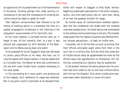an opportunity for any preachment as to the maintenance of discipline, thinking perhaps that under existing circumstances in the navy the consequence of violating discipline should be made to speak for itself.

Their Captain's announcement was listened to by the throng of standing sailors in a dumbness like that of a seated congregation of believers in hell listening to the clergyman's announcement of his Calvinistic text.

At the close, however, a confused murmur went up. It began to wax. All but instantly, then, at a sign, it was pierced and suppressed by shrill whistles of the Boatswain and his Mates piping down one watch.

To be prepared for burial Claggart's body was delivered to certain petty-officers of his mess. And here, not to clog the sequel with lateral matters, it may be added that at a suitable hour, the Master-at-arms was committed to the sea with every funeral honor properly belonging to his naval grade.

In this proceeding as in every public one growing out of the tragedy, strict adherence to usage was observed. Nor in any point could it have been at all deviated from,

either with respect to Claggart or Billy Budd, without begetting undesirable speculations in the ship's company, sailors, and more particularly men-of- war's-men, being of all men the greatest sticklers for usage.

For similar cause, all communication between Captain Vere and the condemned one ended with the closeted interview already given, the latter being now surrendered to the ordinary routine preliminary to the end. This transfer under guard from the Captain's quarters was effected without unusual precautions— at least no visible ones.

If possible, not to let the men so much as surmise that their officers anticipate aught amiss from them is the tacit rule in a military ship. And the more that some sort of trouble should really be apprehended the more do the officers keep that apprehension to themselves; tho' not the less unostentatious vigilance may be augmented.

In the present instance the sentry placed over the prisoner had strict orders to let no one have communication with him but the Chaplain. And certain unobtrusive measures were taken absolutely to insure this point.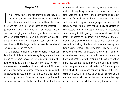## **Chapter 24**

In a seventy-four of the old order the deck known as<br>the upper gun deck was the one covered over by the<br>spar-deck which last though not without its arma-<br>ment was for the most part exposed to the weather. In n a seventy-four of the old order the deck known as the upper gun deck was the one covered over by the spar-deck which last though not without its armageneral it was at all hours free from hammocks; those of the crew swinging on the lower gun deck, and berthdeck, the latter being not only a dormitory but also the place for the stowing of the sailors' bags, and on both sides lined with the large chests or movable pantries of the many messes of the men.

On the starboard side of the *Indomitable's* upper gun deck, behold Billy Budd under sentry, lying prone in irons, in one of the bays formed by the regular spacing of the guns comprising the batteries on either side. All these pieces were of the heavier calibre of that period. Mounted on lumbering wooden carriages they were hampered with cumbersome harness of breechen and strong side-tackles for running them out. Guns and carriages, together with the long rammers and shorter lintstocks lodged in loops

overhead— all these, as customary, were painted black; and the heavy hempen breechens, tarred to the same tint, wore the like livery of the undertakers. In contrast with the funereal hue of these surroundings the prone sailor's exterior apparel, white jumper and white duck trousers, each more or less soiled, dimly glimmered in the obscure light of the bay like a patch of discolored snow in early April lingering at some upland cave's black mouth. In effect he is already in his shroud or the garments that shall serve him in lieu of one. Over him, but scarce illuminating him, two battle-lanterns swing from two massive beams of the deck above. Fed with the oil supplied by the war-contractors (whose gains, honest or otherwise, are in every land an anticipated portion of the harvest of death), with flickering splashes of dirty yellow light they pollute the pale moonshine all but ineffectually struggling in obstructed flecks thro' the open ports from which the tompioned cannon protrude. Other lanterns at intervals serve but to bring out somewhat the obscurer bays which, like small confessionals or side-chapels in a cathedral, branch from the long dim-vistaed broad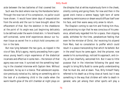aisle between the two batteries of that covered tier.

Such was the deck where now lay the Handsome Sailor. Through the rose-tan of his complexion, no pallor could have shown. It would have taken days of sequestration from the winds and the sun to have brought about the effacement of that. But the skeleton in the cheekbone at the point of its angle was just beginning delicately to be defined under the warm-tinted skin. In fervid hearts self-contained, some brief experiences devour our human tissue as secret fire in a ship's hold consumes cotton in the bale.

But now lying between the two guns, as nipped in the vice of fate, Billy's agony, mainly proceeding from a generous young heart's virgin experience of the diabolical incarnate and effective in some men—the tension of that agony was over now. It survived not the something healing in the closeted interview with Captain Vere. Without movement, he lay as in a trance. That adolescent expression previously noted as his, taking on something akin to the look of a slumbering child in the cradle when the warm hearth-glow of the still chamber at night plays on

the dimples that at whiles mysteriously form in the cheek, silently coming and going there. For now and then in the gyved one's trance a serene happy light born of some wandering reminiscence or dream would diffuse itself over his face, and then wane away only anew to return.

The Chaplain coming to see him and finding him thus, and perceiving no sign that he was conscious of his presence, attentively regarded him for a space, then slipping aside, withdrew for the time, peradventure feeling that even he the minister of Christ, tho' receiving his stipend from Mars, had no consolation to proffer which could result in a peace transcending that which he beheld. But in the small hours he came again. And the prisoner, now awake to his surroundings, noticed his approach, and civilly, all but cheerfully, welcomed him. But it was to little purpose that in the interview following the good man sought to bring Billy Budd to some godly understanding that he must die, and at dawn. True, Billy himself freely referred to his death as a thing close at hand; but it was something in the way that children will refer to death in general, who yet among their other sports will play a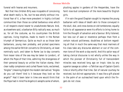funeral with hearse and mourners.

Not that like children Billy was incapable of conceiving what death really is. No, but he was wholly without irrational fear of it, a fear more prevalent in highly civilized communities than those so-called barbarous ones which in all respects stand nearer to unadulterate Nature. And, as elsewhere said, a barbarian Billy radically was; as much so, for all the costume, as his countrymen the British captives, living trophies, made to march in the Roman triumph of Germanicus. Quite as much so as those later barbarians, young men probably, and picked specimens among the earlier British converts to Christianity, at least nominally such, and taken to Rome (as to-day converts from lesser isles of the sea may be taken to London), of whom the Pope of that time, admiring the strangeness of their personal beauty so unlike the Italian stamp, their clear ruddy complexion and curled flaxen locks, exclaimed, "Angles" (meaning *English* the modern derivative) "Angles do you call them? And is it because they look so like angels?" Had it been later in time one would think that the Pope had in mind Fra Angelico's seraphs some of whom,

plucking apples in gardens of the Hesperides, have the faint rose-bud complexion of the more beautiful English girls.

If in vain the good Chaplain sought to impress the young barbarian with ideas of death akin to those conveyed in the skull, dial, and cross-bones on old tombstones; equally futile to all appearance were his efforts to bring home to him the thought of salvation and a Saviour. Billy listened, but less out of awe or reverence perhaps than from a certain natural politeness; doubtless at bottom regarding all that in much the same way that most mariners of his class take any discourse abstract or out of the common tone of the work-a-day world. And this sailor-way of taking clerical discourse is not wholly unlike the way in which the pioneer of Christianity full of transcendent miracles was received long ago on tropic isles by any superior savage so called—a Tahitian say of Captain Cook's time or shortly after that time. Out of natural courtesy he received, but did not appropriate. It was like a gift placed in the palm of an outreached hand upon which the fingers do not close.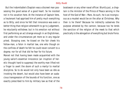But the *Indomitable's* Chaplain was a discreet man possessing the good sense of a good heart. So he insisted not in his vocation here. At the instance of Captain Vere, a lieutenant had apprised him of pretty much everything as to Billy; and since he felt that innocence was even a better thing than religion wherewith to go to Judgement, he reluctantly withdrew; but in his emotion not without first performing an act strange enough in an Englishman, and under the circumstances yet more so in any regular priest. Stooping over, he kissed on the fair cheek his fellow-man, a felon in martial law, one who though on the confines of death he felt he could never convert to a dogma; nor for all that did he fear for his future.

Marvel not that having been made acquainted with the young sailor's essential innocence (an irruption of heretic thought hard to suppress) the worthy man lifted not a finger to avert the doom of such a martyr to martial discipline. So to do would not only have been as idle as invoking the desert, but would also have been an audacious transgression of the bounds of his function, one as exactly prescribed to him by military law as that of the

boatswain or any other naval officer. Bluntly put, a chaplain is the minister of the Prince of Peace serving in the host of the God of War—Mars. As such, he is as incongruous as a musket would be on the altar at Christmas. Why then is he there? Because he indirectly subserves the purpose attested by the cannon; because too he lends the sanction of the religion of the meek to that which practically is the abrogation of everything but brute Force.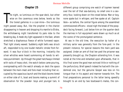## **Chapter 25**

The night, so luminous on the spar-deck, but other<br>wise on the cavernous ones below, levels so like<br>the tiered galleries in a coal-mine—the luminous<br>night passed away. But, like the prophet in the chariot he night, so luminous on the spar-deck, but other wise on the cavernous ones below, levels so like the tiered galleries in a coal-mine—the luminous disappearing in heaven and dropping his mantle to Elisha, the withdrawing night transferred its pale robe to the breaking day. A meek shy light appeared in the East, where stretched a diaphanous fleece of white furrowed vapor. That light slowly waxed. Suddenly *eight bells* was struck aft, responded to by one louder metallic stroke from forward. It was four o'clock in the morning. Instantly the silver whistles were heard summoning all hands to witness punishment. Up through the great hatchways rimmed with racks of heavy shot, the watch below came pouring, overspreading with the watch already on deck the space between the main-mast and fore-mast including that occupied by the capacious launch and the black booms tiered on either side of it, boat and booms making a summit of observation for the powder- boys and younger tars. A

different group comprising one watch of topmen leaned over the rail of that sea-balcony, no small one in a seventy-four, looking down on the crowd below. Man or boy, none spake but in whisper, and few spake at all. Captain Vere—as before, the central figure among the assembled commissioned officers—stood nigh the break of the poopdeck facing forward. Just below him on the quarter-deck the marines in full equipment were drawn up much as at the scene of the promulgated sentence.

At sea in the old time, the execution by halter of a military sailor was generally from the fore-yard. In the present instance, for special reasons the main-yard was assigned. Under an arm of that lee-yard the prisoner was presently brought up, the Chaplain attending him. It was noted at the time and remarked upon afterwards, that in this final scene the good man evinced little or nothing of the perfunctory. Brief speech indeed he had with the condemned one, but the genuine Gospel was less on his tongue than in his aspect and manner towards him. The final preparations personal to the latter being speedily brought to an end by two boatswain's mates, the con-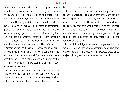summation impended. Billy stood facing aft. At the penultimate moment, his words, his only ones, words wholly unobstructed in the utterance were these—"God bless Captain Vere!" Syllables so unanticipated coming from one with the ignominious hemp about his neck— a conventional felon's benediction directed aft towards the quarters of honor; syllables too delivered in the clear melody of a singing-bird on the point of launching from the twig, had a phenomenal effect, not unenhanced by the rare personal beauty of the young sailor spiritualized now thro' late experiences so poignantly profound.

Without volition as it were, as if indeed the ship's populace were but the vehicles of some vocal current electric, with one voice from alow and aloft came a resonant sympathetic echo—"God bless Captain Vere!" And yet at that instant Billy alone must have been in their hearts, even as he was in their eyes.

At the pronounced words and the spontaneous echo that voluminously rebounded them, Captain Vere, either thro' stoic self-control or a sort of momentary paralysis induced by emotional shock, stood erectly rigid as a musket in the ship-armorer's rack.

The hull deliberately recovering from the periodic roll to leeward was just regaining an even keel, when the last signal, a preconcerted dumb one, was given. At the same moment it chanced that the vapory fleece hanging low in the East, was shot thro' with a soft glory as of the fleece of the Lamb of God seen in mystical vision, and simultaneously therewith, watched by the wedged mass of upturned faces, Billy ascended; and, ascending, took the full rose of the dawn.

In the pinioned figure, arrived at the yard-end, to the wonder of all no motion was apparent, none save that created by the ship's motion, in moderate weather so majestic in a great ship ponderously cannoned.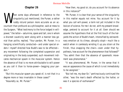## **Chapter 26**

hen some days afterward in reference to the singularity just mentioned, the Purser, a rather ruddy rotund person more accurate as an accountant than profound as a philosopher, said at mess to the Surgeon, "What testimony to the force lodged in willpower," the latter—saturnine, spare and tall, one in whom a discreet causticity went along with a manner less genial than polite, replied, "Your pardon, Mr. Purser. In a hanging scientifically conducted—and under special orders I myself directed how Budd's was to be effected any movement following the completed suspension and originating in the body suspended, such movement indicates mechanical spasm in the muscular system. Hence the absence of that is no more attributable to will-power as you call it than to horse-power—begging your pardon."

"But this muscular spasm you speak of, is not that in a degree more or less invariable in these cases?"

"Assuredly so, Mr. Purser."

"How then, my good sir, do you account for its absence in this instance?"

"Mr. Purser, it is clear that your sense of the singularity in this matter equals not mine. You account for it by what you call will-power, a term not yet included in the lexicon of science. For me I do not, with my present knowledge, pretend to account for it at all. Even should we assume the hypothesis that at the first touch of the halyards the action of Budd's heart, intensified by extraordinary emotion at its climax, abruptly stopt—much like a watch when in carelessly winding it up you strain at the finish, thus snapping the chain—even under that hypothesis, how account for the phenomenon that followed?" "You admit then that the absence of spasmodic movement was phenomenal."

"It was phenomenal, Mr. Purser, in the sense that it was an appearance the cause of which is not immediately to be assigned."

"But tell me, my dear Sir," pertinaciously continued the other, "was the man's death effected by the halter, or was it a species of euthanasia?"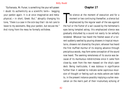"*Euthanasia*, Mr. Purser, is something like your *will-power*: I doubt its authenticity as a scientific term— begging your pardon again. It is at once imaginative and metaphysical,—in short, Greek. But," abruptly changing his tone, "there is a case in the sick-bay that I do not care to leave to my assistants. Beg your pardon, but excuse me." And rising from the mess he formally withdrew.

## **Chapter 27**

The silence at the moment of execution and for a<br>moment or two continuing thereafter, a silence but<br>emphasized by the regular wash of the sea against<br>the hull or the flutter of a sail caused by the helmsman's he silence at the moment of execution and for a moment or two continuing thereafter, a silence but emphasized by the regular wash of the sea against eyes being tempted astray, this emphasized silence was gradually disturbed by a sound not easily to be verbally rendered. Whoever has heard the freshet-wave of a torrent suddenly swelled by pouring showers in tropical mountains, showers not shared by the plain; whoever has heard the first muffled murmur of its sloping advance through precipitous woods, may form some conception of the sound now heard. The seeming remoteness of its source was because of its murmurous indistinctness since it came from close-by, even from the men massed on the ship's open deck. Being inarticulate, it was dubious in significance further than it seemed to indicate some capricious revulsion of thought or feeling such as mobs ashore are liable to, in the present instance possibly implying a sullen revocation on the men's part of their involuntary echoing of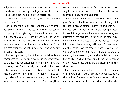Billy's benediction. But ere the murmur had time to wax into clamour it was met by a strategic command, the more telling that it came with abrupt unexpectedness.

"Pipe down the starboard watch, Boatswain, and see that they go."

Shrill as the shriek of the sea-hawk the whistles of the Boatswain and his Mates pierced that ominous low sound, dissipating it; and yielding to the mechanism of discipline, the throng was thinned by one half. For the remainder most of them were set to temporary employments connected with trimming the yards and so forth, business readily to be got up to serve occasion by any officer-of-the-deck.

Now each proceeding that follows a mortal sentence pronounced at sea by a drum-head court is characterised by promptitude not perceptibly merging into hurry, tho' bordering that. The hammock, the one which had been Billy's bed when alive, having already been ballasted with shot and otherwise prepared to serve for his canvas coffin, the last offices of the sea-undertakers, the Sail-Maker's Mates, were now speedily completed. When everything was in readiness a second call for all hands made necessary by the strategic movement before mentioned was sounded and now to witness burial.

The details of this closing formality it needs not to give. But when the tilted plank let slide its freight into the sea, a second strange human murmur was heard, blended now with another inarticulate sound proceeding from certain larger sea-fowl, whose attention having been attracted by the peculiar commotion in the water resulting from the heavy sloped dive of the shotted hammock into the sea, flew screaming to the spot. So near the hull did they come, that the stridor or bony creak of their gaunt double-jointed pinions was audible. As the ship under light airs passed on, leaving the burial-spot astern, they still kept circling it low down with the moving shadow of their outstretched wings and the croaked requiem of their cries.

Upon sailors as superstitious as those of the age preceding ours, men-of-war's-men too who had just beheld the prodigy of repose in the form suspended in air and now foundering in the deeps; to such mariners the action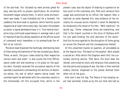of the sea-fowl, tho' dictated by mere animal greed for prey, was big with no prosaic significance. An uncertain movement began among them, in which some encroachment was made. It was tolerated but for a moment. For suddenly the drum beat to quarters, which familiar sound happening at least twice every day, had upon the present occasion a signal peremptoriness in it. True martial discipline long continued superinduces in average man a sort of impulse of docility whose operation at the official sound of command much resembles in its promptitude the effect of an instinct.

The drum-beat dissolved the multitude, distributing most of them along the batteries of the two covered gun decks. There, as wont, the guns' crews stood by their respective cannon erect and silent. In due course the First Officer, sword under arm and standing in his place on the quarter-deck, formally received the successive reports of the sworded Lieutenants commanding the sections of batteries below; the last of which reports being made, the summed report he delivered with the customary salute to the Commander. All this occupied time, which in the

present case, was the object of beating to quarters at an hour prior to the customary one. That such variance from usage was authorized by an officer like Captain Vere, a martinet as some deemed him, was evidence of the necessity for unusual action implied in what he deemed to be temporarily the mood of his men. "With mankind," he would say, "forms, measured forms are everything; and that is the import couched in the story of Orpheus with his lyre spell-binding the wild denizens of the wood." And this he once applied to the disruption of forms going on across the Channel and the consequences thereof.

At this unwonted muster at quarters, all proceeded as at the regular hour. The band on the quarter- deck played a sacred air. After which the Chaplain went thro' the customary morning service. That done, the drum beat the retreat, and toned by music and religious rites subserving the discipline and purpose of war, the men in their wonted orderly manner, dispersed to the places allotted them when not at the guns.

And now it was full day. The fleece of low-hanging vapor had vanished, licked up by the sun that late had so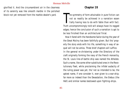glorified it. And the circumambient air in the clearness of its serenity was like smooth marble in the polished block not yet removed from the marble-dealer's yard.

# **Chapter 28**

The symmetry of form attainable in pure fiction can<br>not so readily be achieved in a narration essen<br>tially having less to do with fable than with fact.<br>Truth uncompromisingly told will always have its ragged he symmetry of form attainable in pure fiction can not so readily be achieved in a narration essen tially having less to do with fable than with fact. edges; hence the conclusion of such a narration is apt to be less finished than an architectural finial.

How it fared with the Handsome Sailor during the year of the Great Mutiny has been faithfully given. But tho' properly the story ends with his life, something in way of sequel will not be amiss. Three brief chapters will suffice. In the general re-christening under the Directory of the craft originally forming the navy of the French monarchy, the *St. Louis* line-of-battle ship was named the *Atheiste*. Such a name, like some other substituted ones in the Revolutionary fleet, while proclaiming the infidel audacity of the ruling power was yet, tho' not so intended to be, the aptest name, if one consider it, ever given to a war-ship; far more so indeed than the *Devastation,* the *Erebus* (the *Hell*) and similar names bestowed upon fighting-ships.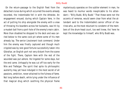On the return-passage to the English fleet from the detached cruise during which occurred the events already recorded, the *Indomitable* fell in with the *Atheiste*. An engagement ensued; during which Captain Vere, in the act of putting his ship alongside the enemy with a view of throwing his boarders across her bulwarks, was hit by a musket-ball from a port-hole of the enemy's main cabin. More than disabled he dropped to the deck and was carried below to the same cock-pit where some of his men already lay. The senior Lieutenant took command. Under him the enemy was finally captured and though much crippled was by rare good fortune successfully taken into Gibraltar, an English port not very distant from the scene of the fight. There, Captain Vere with the rest of the wounded was put ashore. He lingered for some days, but the end came. Unhappily he was cut off too early for the Nile and Trafalgar. The spirit that spite its philosophic austerity may yet have indulged in the most secret of all passions, ambition, never attained to the fulness of fame. Not long before death, while lying under the influence of that magical drug which soothing the physical frame

mysteriously operates on the subtler element in man, he was heard to murmur words inexplicable to his attendant—"Billy Budd, Billy Budd." That these were not the accents of remorse, would seem clear from what the attendant said to the *Indomitable's* senior officer of marines who, as the most reluctant to condemn of the members of the drum-head court, too well knew, tho' here he kept the knowledge to himself, who Billy Budd was.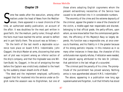## **Chapter 29**

Ome few weeks after the execution, among other<br>
matters under the head of News from the Mediter-<br>
ranean, there appeared in a naval chronicle of the<br>
time an authorized weekly publication, an account of matters under the head of News from the Mediter-Tranean, there appeared in a naval chronicle of the time, an authorized weekly publication, an account of the affair. It was doubtless for the most part written in good faith, tho' the medium, partly rumor, through which the facts must have reached the writer, served to deflect and in part falsify them. The account was as follows:—

"On the tenth of the last month a deplorable occurrence took place on board H.M.S. *Indomitable.* John Claggart, the ship's Master-at-arms, discovering that some sort of plot was incipient among an inferior section of the ship's company, and that the ringleader was one William Budd; he, Claggart, in the act of arraigning the man before the Captain was vindictively stabbed to the heart by the suddenly drawn sheath-knife of Budd.

"The deed and the implement employed, sufficiently suggest that tho' mustered into the service under an English name the assassin was no Englishman, but one of those aliens adopting English cognomens whom the present extraordinary necessities of the Service have caused to be admitted into it in considerable numbers.

"The enormity of the crime and the extreme depravity of the criminal, appear the greater in view of the character of the victim, a middle-aged man respectable and discreet, belonging to that official grade, the petty-officers, upon whom, as none know better than the commissioned gentlemen, the efficiency of His Majesty's Navy so largely depends. His function was a responsible one, at once onerous & thankless, and his fidelity in it the greater because of his strong patriotic impulse. In this instance as in so many other instances in these days, the character of this unfortunate man signally refutes, if refutation were needed, that peevish saying attributed to the late Dr. Johnson, that patriotism is the last refuge of a scoundrel.

"The criminal paid the penalty of his crime. The promptitude of the punishment has proved salutary. Nothing amiss is now apprehended aboard H.M.S. *Indomitable*."

The above, appearing in a publication now long ago superannuated and forgotten, is all that hitherto has stood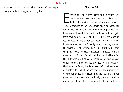in human record to attest what manner of men respectively were John Claggart and Billy Budd.

# **Chapter 30**

verything is for a term remarkable in navies. Any<br>tangible object associated with some striking inci-<br>dent of the service is converted into a monument.<br>The spar from which the Foretopman was suspended, was verything is for a term remarkable in navies. Any tangible object associated with some striking incident of the service is converted into a monument. for some few years kept trace of by the blue-jackets. Their knowledge followed it from ship to dock- yard and again from dock-yard to ship, still pursuing it even when at last reduced to a mere dock-yard boom. To them a chip of it was as a piece of the Cross. Ignorant tho' they were of the secret facts of the tragedy, and not thinking but that the penalty was somehow unavoidably inflicted from the naval point of view, for all that they instinctively felt that Billy was a sort of man as incapable of mutiny as of wilfull murder. They recalled the fresh young image of the Handsome Sailor, that face never deformed by a sneer or subtler vile freak of the heart within. Their impression of him was doubtless deepened by the fact that he was gone, and in a measure mysteriously gone. At the time, on the gun decks of the *Indomitable,* the general esti-